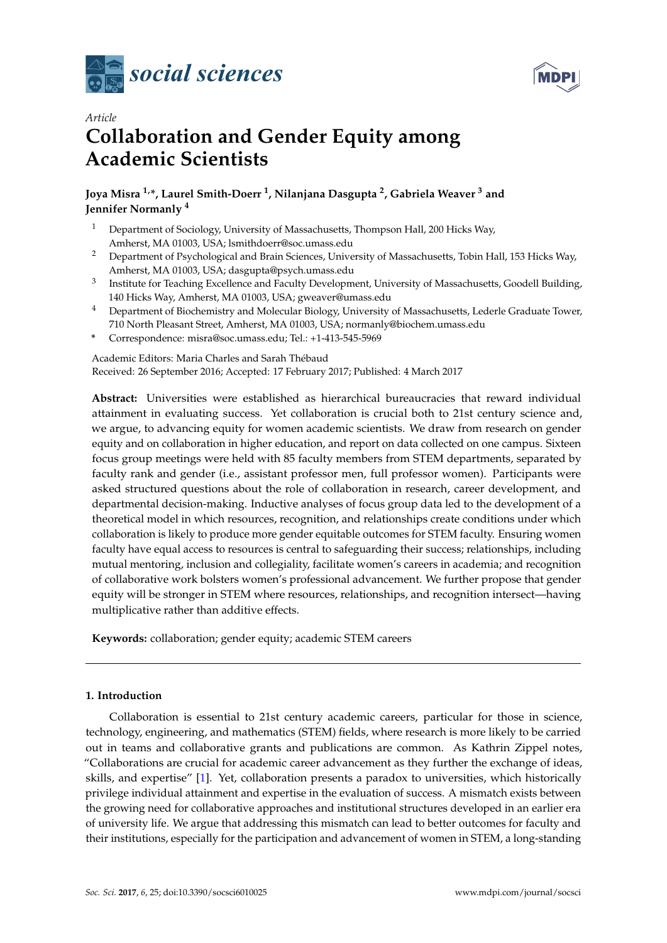



# *Article* **Collaboration and Gender Equity among Academic Scientists**

# **Joya Misra 1,\*, Laurel Smith-Doerr <sup>1</sup> , Nilanjana Dasgupta <sup>2</sup> , Gabriela Weaver <sup>3</sup> and Jennifer Normanly <sup>4</sup>**

- <sup>1</sup> Department of Sociology, University of Massachusetts, Thompson Hall, 200 Hicks Way, Amherst, MA 01003, USA; lsmithdoerr@soc.umass.edu
- <sup>2</sup> Department of Psychological and Brain Sciences, University of Massachusetts, Tobin Hall, 153 Hicks Way, Amherst, MA 01003, USA; dasgupta@psych.umass.edu
- $^3$  Institute for Teaching Excellence and Faculty Development, University of Massachusetts, Goodell Building, 140 Hicks Way, Amherst, MA 01003, USA; gweaver@umass.edu
- <sup>4</sup> Department of Biochemistry and Molecular Biology, University of Massachusetts, Lederle Graduate Tower, 710 North Pleasant Street, Amherst, MA 01003, USA; normanly@biochem.umass.edu
- **\*** Correspondence: misra@soc.umass.edu; Tel.: +1-413-545-5969

Academic Editors: Maria Charles and Sarah Thébaud Received: 26 September 2016; Accepted: 17 February 2017; Published: 4 March 2017

**Abstract:** Universities were established as hierarchical bureaucracies that reward individual attainment in evaluating success. Yet collaboration is crucial both to 21st century science and, we argue, to advancing equity for women academic scientists. We draw from research on gender equity and on collaboration in higher education, and report on data collected on one campus. Sixteen focus group meetings were held with 85 faculty members from STEM departments, separated by faculty rank and gender (i.e., assistant professor men, full professor women). Participants were asked structured questions about the role of collaboration in research, career development, and departmental decision-making. Inductive analyses of focus group data led to the development of a theoretical model in which resources, recognition, and relationships create conditions under which collaboration is likely to produce more gender equitable outcomes for STEM faculty. Ensuring women faculty have equal access to resources is central to safeguarding their success; relationships, including mutual mentoring, inclusion and collegiality, facilitate women's careers in academia; and recognition of collaborative work bolsters women's professional advancement. We further propose that gender equity will be stronger in STEM where resources, relationships, and recognition intersect—having multiplicative rather than additive effects.

**Keywords:** collaboration; gender equity; academic STEM careers

# **1. Introduction**

Collaboration is essential to 21st century academic careers, particular for those in science, technology, engineering, and mathematics (STEM) fields, where research is more likely to be carried out in teams and collaborative grants and publications are common. As Kathrin Zippel notes, "Collaborations are crucial for academic career advancement as they further the exchange of ideas, skills, and expertise" [\[1\]](#page-17-0). Yet, collaboration presents a paradox to universities, which historically privilege individual attainment and expertise in the evaluation of success. A mismatch exists between the growing need for collaborative approaches and institutional structures developed in an earlier era of university life. We argue that addressing this mismatch can lead to better outcomes for faculty and their institutions, especially for the participation and advancement of women in STEM, a long-standing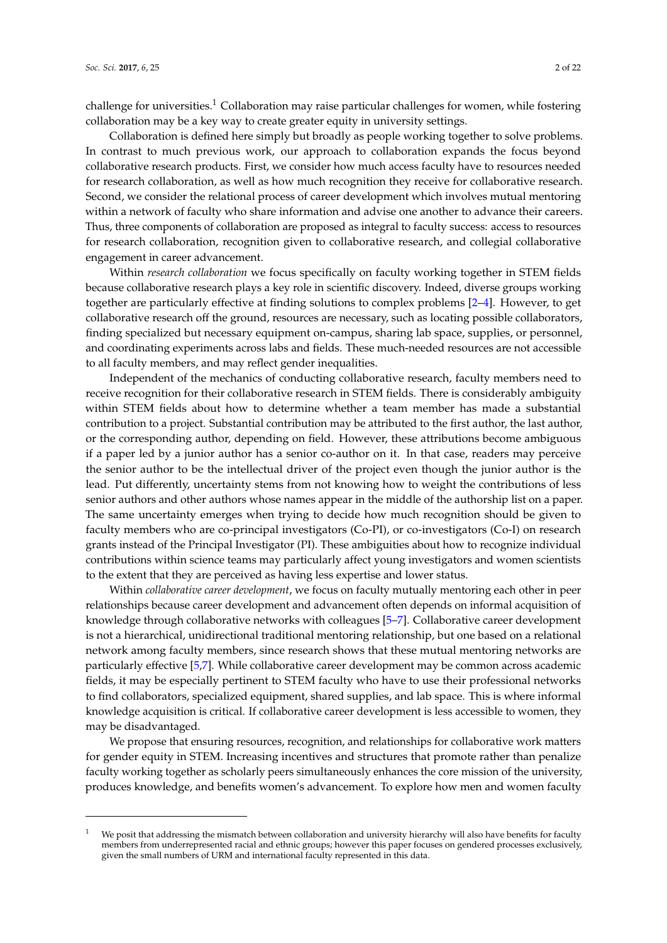challenge for universities.<sup>1</sup> Collaboration may raise particular challenges for women, while fostering collaboration may be a key way to create greater equity in university settings.

Collaboration is defined here simply but broadly as people working together to solve problems. In contrast to much previous work, our approach to collaboration expands the focus beyond collaborative research products. First, we consider how much access faculty have to resources needed for research collaboration, as well as how much recognition they receive for collaborative research. Second, we consider the relational process of career development which involves mutual mentoring within a network of faculty who share information and advise one another to advance their careers. Thus, three components of collaboration are proposed as integral to faculty success: access to resources for research collaboration, recognition given to collaborative research, and collegial collaborative engagement in career advancement.

Within *research collaboration* we focus specifically on faculty working together in STEM fields because collaborative research plays a key role in scientific discovery. Indeed, diverse groups working together are particularly effective at finding solutions to complex problems [\[2–](#page-17-1)[4\]](#page-17-2). However, to get collaborative research off the ground, resources are necessary, such as locating possible collaborators, finding specialized but necessary equipment on-campus, sharing lab space, supplies, or personnel, and coordinating experiments across labs and fields. These much-needed resources are not accessible to all faculty members, and may reflect gender inequalities.

Independent of the mechanics of conducting collaborative research, faculty members need to receive recognition for their collaborative research in STEM fields. There is considerably ambiguity within STEM fields about how to determine whether a team member has made a substantial contribution to a project. Substantial contribution may be attributed to the first author, the last author, or the corresponding author, depending on field. However, these attributions become ambiguous if a paper led by a junior author has a senior co-author on it. In that case, readers may perceive the senior author to be the intellectual driver of the project even though the junior author is the lead. Put differently, uncertainty stems from not knowing how to weight the contributions of less senior authors and other authors whose names appear in the middle of the authorship list on a paper. The same uncertainty emerges when trying to decide how much recognition should be given to faculty members who are co-principal investigators (Co-PI), or co-investigators (Co-I) on research grants instead of the Principal Investigator (PI). These ambiguities about how to recognize individual contributions within science teams may particularly affect young investigators and women scientists to the extent that they are perceived as having less expertise and lower status.

Within *collaborative career development*, we focus on faculty mutually mentoring each other in peer relationships because career development and advancement often depends on informal acquisition of knowledge through collaborative networks with colleagues [\[5–](#page-17-3)[7\]](#page-17-4). Collaborative career development is not a hierarchical, unidirectional traditional mentoring relationship, but one based on a relational network among faculty members, since research shows that these mutual mentoring networks are particularly effective [\[5,](#page-17-3)[7\]](#page-17-4). While collaborative career development may be common across academic fields, it may be especially pertinent to STEM faculty who have to use their professional networks to find collaborators, specialized equipment, shared supplies, and lab space. This is where informal knowledge acquisition is critical. If collaborative career development is less accessible to women, they may be disadvantaged.

We propose that ensuring resources, recognition, and relationships for collaborative work matters for gender equity in STEM. Increasing incentives and structures that promote rather than penalize faculty working together as scholarly peers simultaneously enhances the core mission of the university, produces knowledge, and benefits women's advancement. To explore how men and women faculty

We posit that addressing the mismatch between collaboration and university hierarchy will also have benefits for faculty members from underrepresented racial and ethnic groups; however this paper focuses on gendered processes exclusively, given the small numbers of URM and international faculty represented in this data.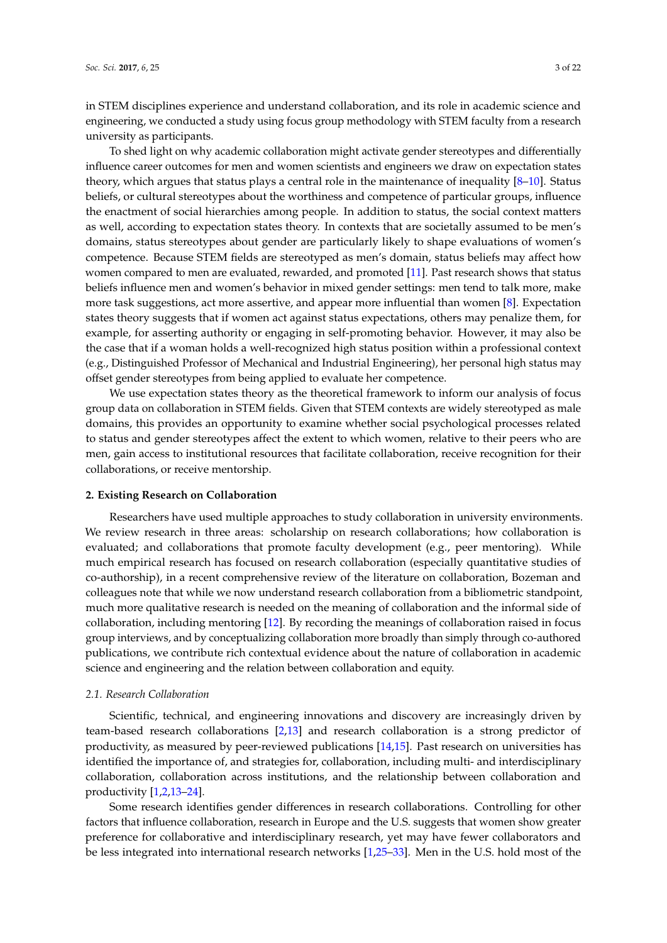in STEM disciplines experience and understand collaboration, and its role in academic science and engineering, we conducted a study using focus group methodology with STEM faculty from a research university as participants.

To shed light on why academic collaboration might activate gender stereotypes and differentially influence career outcomes for men and women scientists and engineers we draw on expectation states theory, which argues that status plays a central role in the maintenance of inequality [\[8–](#page-17-5)[10\]](#page-17-6). Status beliefs, or cultural stereotypes about the worthiness and competence of particular groups, influence the enactment of social hierarchies among people. In addition to status, the social context matters as well, according to expectation states theory. In contexts that are societally assumed to be men's domains, status stereotypes about gender are particularly likely to shape evaluations of women's competence. Because STEM fields are stereotyped as men's domain, status beliefs may affect how women compared to men are evaluated, rewarded, and promoted [\[11\]](#page-17-7). Past research shows that status beliefs influence men and women's behavior in mixed gender settings: men tend to talk more, make more task suggestions, act more assertive, and appear more influential than women [\[8\]](#page-17-5). Expectation states theory suggests that if women act against status expectations, others may penalize them, for example, for asserting authority or engaging in self-promoting behavior. However, it may also be the case that if a woman holds a well-recognized high status position within a professional context (e.g., Distinguished Professor of Mechanical and Industrial Engineering), her personal high status may offset gender stereotypes from being applied to evaluate her competence.

We use expectation states theory as the theoretical framework to inform our analysis of focus group data on collaboration in STEM fields. Given that STEM contexts are widely stereotyped as male domains, this provides an opportunity to examine whether social psychological processes related to status and gender stereotypes affect the extent to which women, relative to their peers who are men, gain access to institutional resources that facilitate collaboration, receive recognition for their collaborations, or receive mentorship.

### **2. Existing Research on Collaboration**

Researchers have used multiple approaches to study collaboration in university environments. We review research in three areas: scholarship on research collaborations; how collaboration is evaluated; and collaborations that promote faculty development (e.g., peer mentoring). While much empirical research has focused on research collaboration (especially quantitative studies of co-authorship), in a recent comprehensive review of the literature on collaboration, Bozeman and colleagues note that while we now understand research collaboration from a bibliometric standpoint, much more qualitative research is needed on the meaning of collaboration and the informal side of collaboration, including mentoring [\[12\]](#page-17-8). By recording the meanings of collaboration raised in focus group interviews, and by conceptualizing collaboration more broadly than simply through co-authored publications, we contribute rich contextual evidence about the nature of collaboration in academic science and engineering and the relation between collaboration and equity.

# *2.1. Research Collaboration*

Scientific, technical, and engineering innovations and discovery are increasingly driven by team-based research collaborations [\[2](#page-17-1)[,13\]](#page-17-9) and research collaboration is a strong predictor of productivity, as measured by peer-reviewed publications [\[14,](#page-17-10)[15\]](#page-17-11). Past research on universities has identified the importance of, and strategies for, collaboration, including multi- and interdisciplinary collaboration, collaboration across institutions, and the relationship between collaboration and productivity [\[1,](#page-17-0)[2,](#page-17-1)[13](#page-17-9)[–24\]](#page-18-0).

Some research identifies gender differences in research collaborations. Controlling for other factors that influence collaboration, research in Europe and the U.S. suggests that women show greater preference for collaborative and interdisciplinary research, yet may have fewer collaborators and be less integrated into international research networks [\[1,](#page-17-0)[25–](#page-18-1)[33\]](#page-18-2). Men in the U.S. hold most of the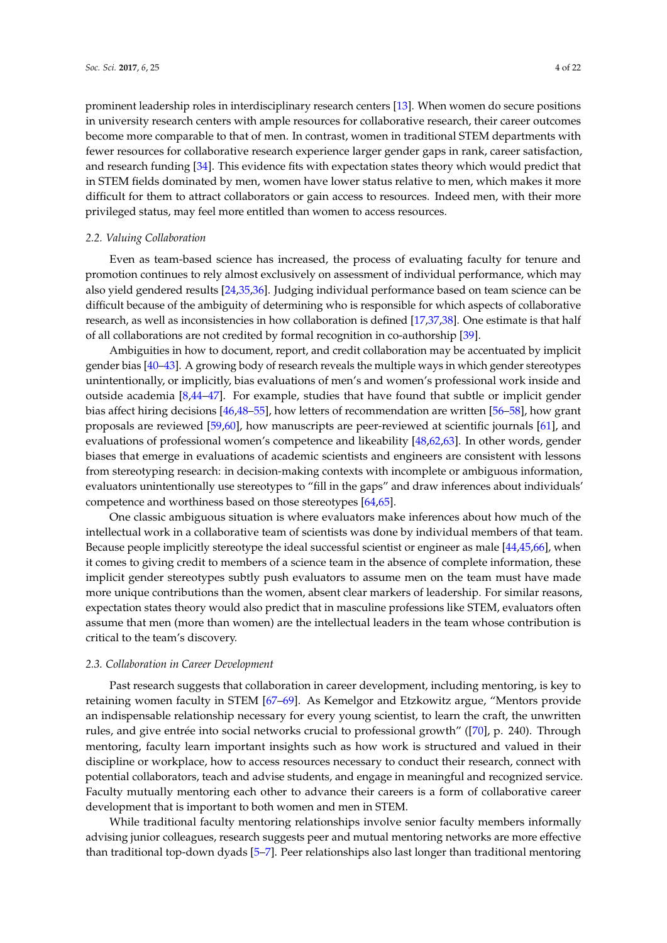prominent leadership roles in interdisciplinary research centers [\[13\]](#page-17-9). When women do secure positions in university research centers with ample resources for collaborative research, their career outcomes become more comparable to that of men. In contrast, women in traditional STEM departments with fewer resources for collaborative research experience larger gender gaps in rank, career satisfaction, and research funding [\[34\]](#page-18-3). This evidence fits with expectation states theory which would predict that in STEM fields dominated by men, women have lower status relative to men, which makes it more difficult for them to attract collaborators or gain access to resources. Indeed men, with their more privileged status, may feel more entitled than women to access resources.

# *2.2. Valuing Collaboration*

Even as team-based science has increased, the process of evaluating faculty for tenure and promotion continues to rely almost exclusively on assessment of individual performance, which may also yield gendered results [\[24](#page-18-0)[,35](#page-18-4)[,36\]](#page-18-5). Judging individual performance based on team science can be difficult because of the ambiguity of determining who is responsible for which aspects of collaborative research, as well as inconsistencies in how collaboration is defined [\[17,](#page-17-12)[37,](#page-18-6)[38\]](#page-18-7). One estimate is that half of all collaborations are not credited by formal recognition in co-authorship [\[39\]](#page-18-8).

Ambiguities in how to document, report, and credit collaboration may be accentuated by implicit gender bias [\[40–](#page-18-9)[43\]](#page-19-0). A growing body of research reveals the multiple ways in which gender stereotypes unintentionally, or implicitly, bias evaluations of men's and women's professional work inside and outside academia [\[8,](#page-17-5)[44–](#page-19-1)[47\]](#page-19-2). For example, studies that have found that subtle or implicit gender bias affect hiring decisions [\[46,](#page-19-3)[48–](#page-19-4)[55\]](#page-19-5), how letters of recommendation are written [\[56–](#page-19-6)[58\]](#page-19-7), how grant proposals are reviewed [\[59,](#page-19-8)[60\]](#page-19-9), how manuscripts are peer-reviewed at scientific journals [\[61\]](#page-19-10), and evaluations of professional women's competence and likeability [\[48](#page-19-4)[,62](#page-19-11)[,63\]](#page-19-12). In other words, gender biases that emerge in evaluations of academic scientists and engineers are consistent with lessons from stereotyping research: in decision-making contexts with incomplete or ambiguous information, evaluators unintentionally use stereotypes to "fill in the gaps" and draw inferences about individuals' competence and worthiness based on those stereotypes [\[64](#page-20-0)[,65\]](#page-20-1).

One classic ambiguous situation is where evaluators make inferences about how much of the intellectual work in a collaborative team of scientists was done by individual members of that team. Because people implicitly stereotype the ideal successful scientist or engineer as male [\[44](#page-19-1)[,45](#page-19-13)[,66\]](#page-20-2), when it comes to giving credit to members of a science team in the absence of complete information, these implicit gender stereotypes subtly push evaluators to assume men on the team must have made more unique contributions than the women, absent clear markers of leadership. For similar reasons, expectation states theory would also predict that in masculine professions like STEM, evaluators often assume that men (more than women) are the intellectual leaders in the team whose contribution is critical to the team's discovery.

#### *2.3. Collaboration in Career Development*

Past research suggests that collaboration in career development, including mentoring, is key to retaining women faculty in STEM [\[67–](#page-20-3)[69\]](#page-20-4). As Kemelgor and Etzkowitz argue, "Mentors provide an indispensable relationship necessary for every young scientist, to learn the craft, the unwritten rules, and give entrée into social networks crucial to professional growth" ([\[70\]](#page-20-5), p. 240). Through mentoring, faculty learn important insights such as how work is structured and valued in their discipline or workplace, how to access resources necessary to conduct their research, connect with potential collaborators, teach and advise students, and engage in meaningful and recognized service. Faculty mutually mentoring each other to advance their careers is a form of collaborative career development that is important to both women and men in STEM.

While traditional faculty mentoring relationships involve senior faculty members informally advising junior colleagues, research suggests peer and mutual mentoring networks are more effective than traditional top-down dyads [\[5–](#page-17-3)[7\]](#page-17-4). Peer relationships also last longer than traditional mentoring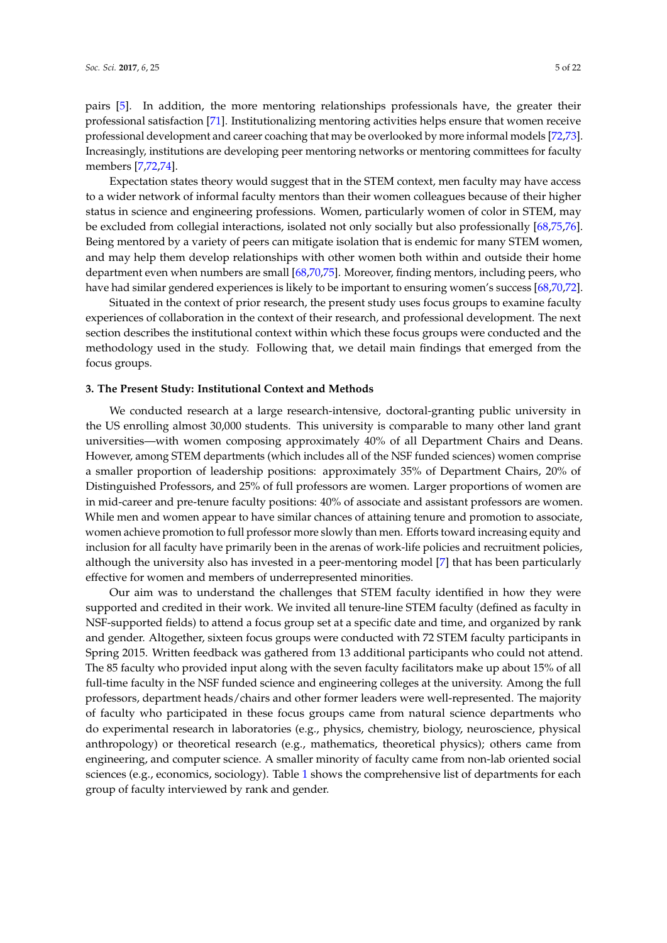pairs [\[5\]](#page-17-3). In addition, the more mentoring relationships professionals have, the greater their professional satisfaction [\[71\]](#page-20-6). Institutionalizing mentoring activities helps ensure that women receive professional development and career coaching that may be overlooked by more informal models [\[72](#page-20-7)[,73\]](#page-20-8). Increasingly, institutions are developing peer mentoring networks or mentoring committees for faculty members [\[7,](#page-17-4)[72,](#page-20-7)[74\]](#page-20-9).

Expectation states theory would suggest that in the STEM context, men faculty may have access to a wider network of informal faculty mentors than their women colleagues because of their higher status in science and engineering professions. Women, particularly women of color in STEM, may be excluded from collegial interactions, isolated not only socially but also professionally [\[68,](#page-20-10)[75,](#page-20-11)[76\]](#page-20-12). Being mentored by a variety of peers can mitigate isolation that is endemic for many STEM women, and may help them develop relationships with other women both within and outside their home department even when numbers are small [\[68](#page-20-10)[,70,](#page-20-5)[75\]](#page-20-11). Moreover, finding mentors, including peers, who have had similar gendered experiences is likely to be important to ensuring women's success [\[68](#page-20-10)[,70](#page-20-5)[,72\]](#page-20-7).

Situated in the context of prior research, the present study uses focus groups to examine faculty experiences of collaboration in the context of their research, and professional development. The next section describes the institutional context within which these focus groups were conducted and the methodology used in the study. Following that, we detail main findings that emerged from the focus groups.

## **3. The Present Study: Institutional Context and Methods**

We conducted research at a large research-intensive, doctoral-granting public university in the US enrolling almost 30,000 students. This university is comparable to many other land grant universities—with women composing approximately 40% of all Department Chairs and Deans. However, among STEM departments (which includes all of the NSF funded sciences) women comprise a smaller proportion of leadership positions: approximately 35% of Department Chairs, 20% of Distinguished Professors, and 25% of full professors are women. Larger proportions of women are in mid-career and pre-tenure faculty positions: 40% of associate and assistant professors are women. While men and women appear to have similar chances of attaining tenure and promotion to associate, women achieve promotion to full professor more slowly than men. Efforts toward increasing equity and inclusion for all faculty have primarily been in the arenas of work-life policies and recruitment policies, although the university also has invested in a peer-mentoring model [\[7\]](#page-17-4) that has been particularly effective for women and members of underrepresented minorities.

Our aim was to understand the challenges that STEM faculty identified in how they were supported and credited in their work. We invited all tenure-line STEM faculty (defined as faculty in NSF-supported fields) to attend a focus group set at a specific date and time, and organized by rank and gender. Altogether, sixteen focus groups were conducted with 72 STEM faculty participants in Spring 2015. Written feedback was gathered from 13 additional participants who could not attend. The 85 faculty who provided input along with the seven faculty facilitators make up about 15% of all full-time faculty in the NSF funded science and engineering colleges at the university. Among the full professors, department heads/chairs and other former leaders were well-represented. The majority of faculty who participated in these focus groups came from natural science departments who do experimental research in laboratories (e.g., physics, chemistry, biology, neuroscience, physical anthropology) or theoretical research (e.g., mathematics, theoretical physics); others came from engineering, and computer science. A smaller minority of faculty came from non-lab oriented social sciences (e.g., economics, sociology). Table [1](#page-5-0) shows the comprehensive list of departments for each group of faculty interviewed by rank and gender.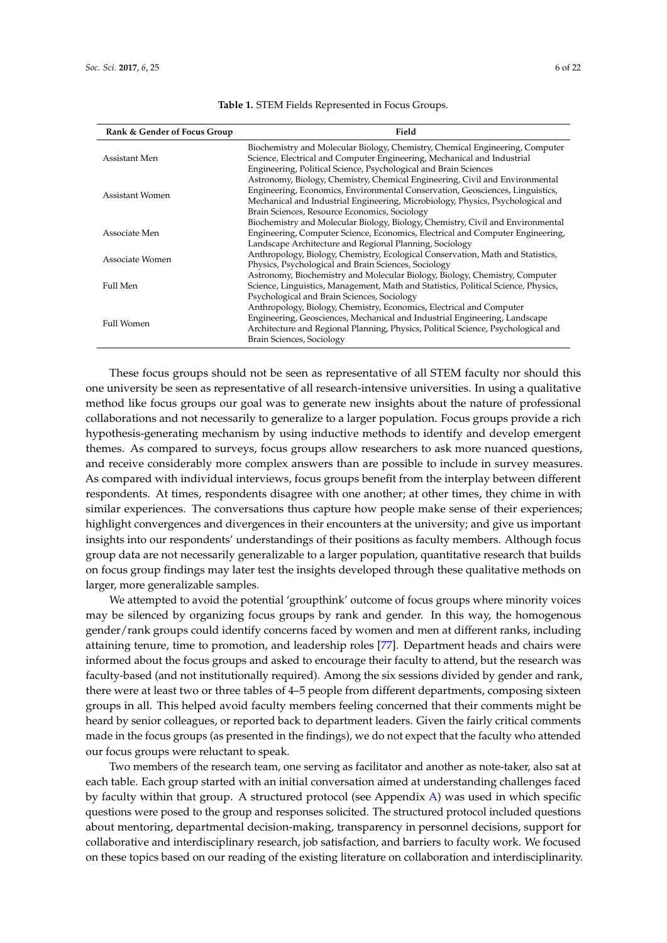<span id="page-5-0"></span>

| Rank & Gender of Focus Group | Field                                                                              |
|------------------------------|------------------------------------------------------------------------------------|
| Assistant Men                | Biochemistry and Molecular Biology, Chemistry, Chemical Engineering, Computer      |
|                              | Science, Electrical and Computer Engineering, Mechanical and Industrial            |
|                              | Engineering, Political Science, Psychological and Brain Sciences                   |
| Assistant Women              | Astronomy, Biology, Chemistry, Chemical Engineering, Civil and Environmental       |
|                              | Engineering, Economics, Environmental Conservation, Geosciences, Linguistics,      |
|                              | Mechanical and Industrial Engineering, Microbiology, Physics, Psychological and    |
|                              | Brain Sciences, Resource Economics, Sociology                                      |
| Associate Men                | Biochemistry and Molecular Biology, Biology, Chemistry, Civil and Environmental    |
|                              | Engineering, Computer Science, Economics, Electrical and Computer Engineering,     |
|                              | Landscape Architecture and Regional Planning, Sociology                            |
| Associate Women              | Anthropology, Biology, Chemistry, Ecological Conservation, Math and Statistics,    |
|                              | Physics, Psychological and Brain Sciences, Sociology                               |
| Full Men                     | Astronomy, Biochemistry and Molecular Biology, Biology, Chemistry, Computer        |
|                              | Science, Linguistics, Management, Math and Statistics, Political Science, Physics, |
|                              | Psychological and Brain Sciences, Sociology                                        |
| <b>Full Women</b>            | Anthropology, Biology, Chemistry, Economics, Electrical and Computer               |
|                              | Engineering, Geosciences, Mechanical and Industrial Engineering, Landscape         |
|                              | Architecture and Regional Planning, Physics, Political Science, Psychological and  |
|                              | Brain Sciences, Sociology                                                          |

**Table 1.** STEM Fields Represented in Focus Groups.

These focus groups should not be seen as representative of all STEM faculty nor should this one university be seen as representative of all research-intensive universities. In using a qualitative method like focus groups our goal was to generate new insights about the nature of professional collaborations and not necessarily to generalize to a larger population. Focus groups provide a rich hypothesis-generating mechanism by using inductive methods to identify and develop emergent themes. As compared to surveys, focus groups allow researchers to ask more nuanced questions, and receive considerably more complex answers than are possible to include in survey measures. As compared with individual interviews, focus groups benefit from the interplay between different respondents. At times, respondents disagree with one another; at other times, they chime in with similar experiences. The conversations thus capture how people make sense of their experiences; highlight convergences and divergences in their encounters at the university; and give us important insights into our respondents' understandings of their positions as faculty members. Although focus group data are not necessarily generalizable to a larger population, quantitative research that builds on focus group findings may later test the insights developed through these qualitative methods on larger, more generalizable samples.

We attempted to avoid the potential 'groupthink' outcome of focus groups where minority voices may be silenced by organizing focus groups by rank and gender. In this way, the homogenous gender/rank groups could identify concerns faced by women and men at different ranks, including attaining tenure, time to promotion, and leadership roles [\[77\]](#page-20-13). Department heads and chairs were informed about the focus groups and asked to encourage their faculty to attend, but the research was faculty-based (and not institutionally required). Among the six sessions divided by gender and rank, there were at least two or three tables of 4–5 people from different departments, composing sixteen groups in all. This helped avoid faculty members feeling concerned that their comments might be heard by senior colleagues, or reported back to department leaders. Given the fairly critical comments made in the focus groups (as presented in the findings), we do not expect that the faculty who attended our focus groups were reluctant to speak.

Two members of the research team, one serving as facilitator and another as note-taker, also sat at each table. Each group started with an initial conversation aimed at understanding challenges faced by faculty within that group. A structured protocol (see Appendix [A\)](#page-16-0) was used in which specific questions were posed to the group and responses solicited. The structured protocol included questions about mentoring, departmental decision-making, transparency in personnel decisions, support for collaborative and interdisciplinary research, job satisfaction, and barriers to faculty work. We focused on these topics based on our reading of the existing literature on collaboration and interdisciplinarity.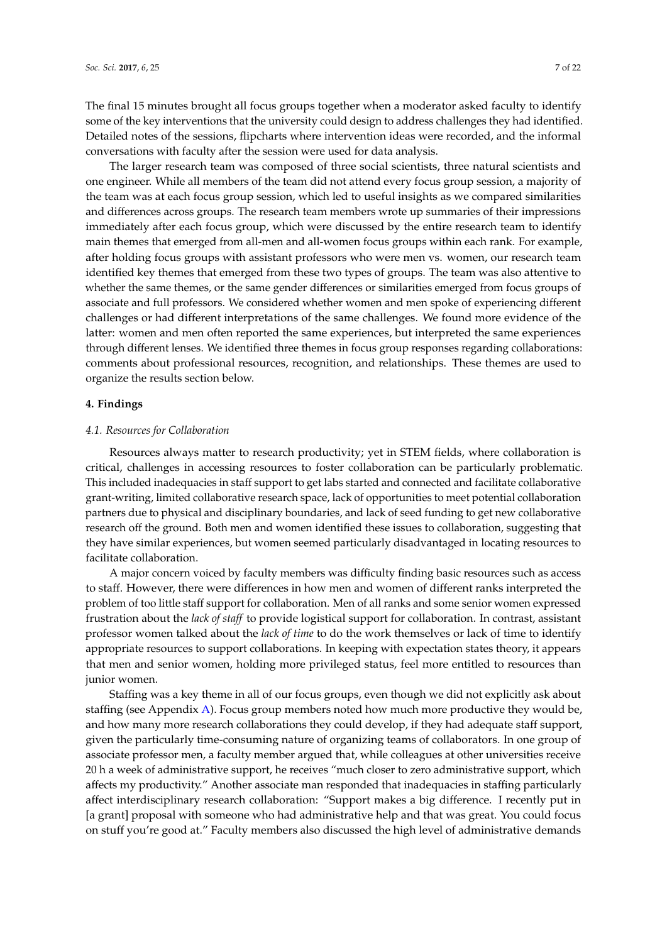The final 15 minutes brought all focus groups together when a moderator asked faculty to identify some of the key interventions that the university could design to address challenges they had identified. Detailed notes of the sessions, flipcharts where intervention ideas were recorded, and the informal conversations with faculty after the session were used for data analysis.

The larger research team was composed of three social scientists, three natural scientists and one engineer. While all members of the team did not attend every focus group session, a majority of the team was at each focus group session, which led to useful insights as we compared similarities and differences across groups. The research team members wrote up summaries of their impressions immediately after each focus group, which were discussed by the entire research team to identify main themes that emerged from all-men and all-women focus groups within each rank. For example, after holding focus groups with assistant professors who were men vs. women, our research team identified key themes that emerged from these two types of groups. The team was also attentive to whether the same themes, or the same gender differences or similarities emerged from focus groups of associate and full professors. We considered whether women and men spoke of experiencing different challenges or had different interpretations of the same challenges. We found more evidence of the latter: women and men often reported the same experiences, but interpreted the same experiences through different lenses. We identified three themes in focus group responses regarding collaborations: comments about professional resources, recognition, and relationships. These themes are used to organize the results section below.

#### **4. Findings**

#### *4.1. Resources for Collaboration*

Resources always matter to research productivity; yet in STEM fields, where collaboration is critical, challenges in accessing resources to foster collaboration can be particularly problematic. This included inadequacies in staff support to get labs started and connected and facilitate collaborative grant-writing, limited collaborative research space, lack of opportunities to meet potential collaboration partners due to physical and disciplinary boundaries, and lack of seed funding to get new collaborative research off the ground. Both men and women identified these issues to collaboration, suggesting that they have similar experiences, but women seemed particularly disadvantaged in locating resources to facilitate collaboration.

A major concern voiced by faculty members was difficulty finding basic resources such as access to staff. However, there were differences in how men and women of different ranks interpreted the problem of too little staff support for collaboration. Men of all ranks and some senior women expressed frustration about the *lack of staff* to provide logistical support for collaboration. In contrast, assistant professor women talked about the *lack of time* to do the work themselves or lack of time to identify appropriate resources to support collaborations. In keeping with expectation states theory, it appears that men and senior women, holding more privileged status, feel more entitled to resources than junior women.

Staffing was a key theme in all of our focus groups, even though we did not explicitly ask about staffing (see Appendix [A\)](#page-16-0). Focus group members noted how much more productive they would be, and how many more research collaborations they could develop, if they had adequate staff support, given the particularly time-consuming nature of organizing teams of collaborators. In one group of associate professor men, a faculty member argued that, while colleagues at other universities receive 20 h a week of administrative support, he receives "much closer to zero administrative support, which affects my productivity." Another associate man responded that inadequacies in staffing particularly affect interdisciplinary research collaboration: "Support makes a big difference. I recently put in [a grant] proposal with someone who had administrative help and that was great. You could focus on stuff you're good at." Faculty members also discussed the high level of administrative demands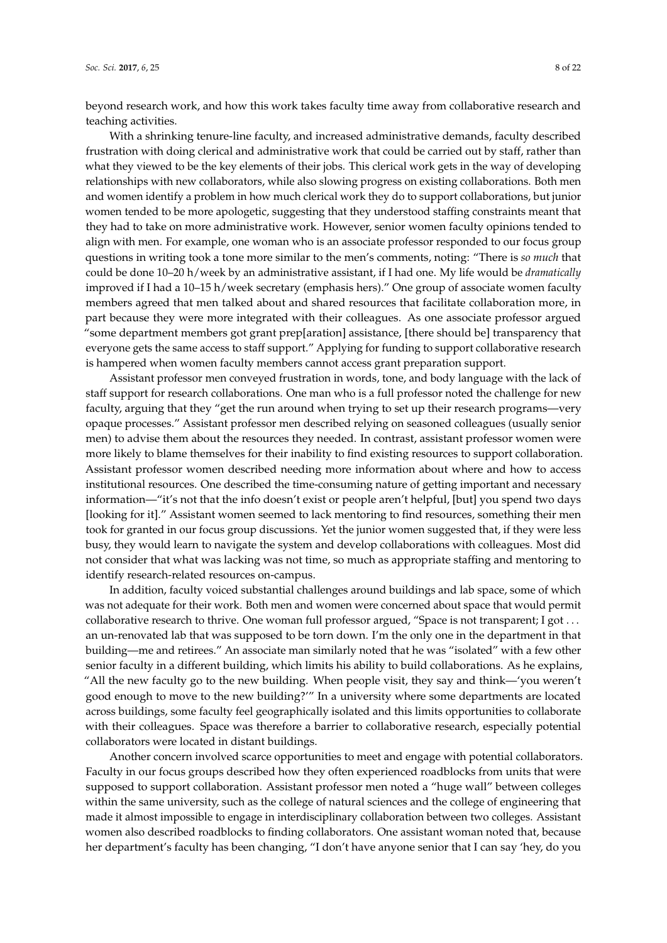beyond research work, and how this work takes faculty time away from collaborative research and teaching activities.

With a shrinking tenure-line faculty, and increased administrative demands, faculty described frustration with doing clerical and administrative work that could be carried out by staff, rather than what they viewed to be the key elements of their jobs. This clerical work gets in the way of developing relationships with new collaborators, while also slowing progress on existing collaborations. Both men and women identify a problem in how much clerical work they do to support collaborations, but junior women tended to be more apologetic, suggesting that they understood staffing constraints meant that they had to take on more administrative work. However, senior women faculty opinions tended to align with men. For example, one woman who is an associate professor responded to our focus group questions in writing took a tone more similar to the men's comments, noting: "There is *so much* that could be done 10–20 h/week by an administrative assistant, if I had one. My life would be *dramatically* improved if I had a 10–15 h/week secretary (emphasis hers)." One group of associate women faculty members agreed that men talked about and shared resources that facilitate collaboration more, in part because they were more integrated with their colleagues. As one associate professor argued "some department members got grant prep[aration] assistance, [there should be] transparency that everyone gets the same access to staff support." Applying for funding to support collaborative research is hampered when women faculty members cannot access grant preparation support.

Assistant professor men conveyed frustration in words, tone, and body language with the lack of staff support for research collaborations. One man who is a full professor noted the challenge for new faculty, arguing that they "get the run around when trying to set up their research programs—very opaque processes." Assistant professor men described relying on seasoned colleagues (usually senior men) to advise them about the resources they needed. In contrast, assistant professor women were more likely to blame themselves for their inability to find existing resources to support collaboration. Assistant professor women described needing more information about where and how to access institutional resources. One described the time-consuming nature of getting important and necessary information—"it's not that the info doesn't exist or people aren't helpful, [but] you spend two days [looking for it]." Assistant women seemed to lack mentoring to find resources, something their men took for granted in our focus group discussions. Yet the junior women suggested that, if they were less busy, they would learn to navigate the system and develop collaborations with colleagues. Most did not consider that what was lacking was not time, so much as appropriate staffing and mentoring to identify research-related resources on-campus.

In addition, faculty voiced substantial challenges around buildings and lab space, some of which was not adequate for their work. Both men and women were concerned about space that would permit collaborative research to thrive. One woman full professor argued, "Space is not transparent; I got . . . an un-renovated lab that was supposed to be torn down. I'm the only one in the department in that building—me and retirees." An associate man similarly noted that he was "isolated" with a few other senior faculty in a different building, which limits his ability to build collaborations. As he explains, "All the new faculty go to the new building. When people visit, they say and think—'you weren't good enough to move to the new building?'" In a university where some departments are located across buildings, some faculty feel geographically isolated and this limits opportunities to collaborate with their colleagues. Space was therefore a barrier to collaborative research, especially potential collaborators were located in distant buildings.

Another concern involved scarce opportunities to meet and engage with potential collaborators. Faculty in our focus groups described how they often experienced roadblocks from units that were supposed to support collaboration. Assistant professor men noted a "huge wall" between colleges within the same university, such as the college of natural sciences and the college of engineering that made it almost impossible to engage in interdisciplinary collaboration between two colleges. Assistant women also described roadblocks to finding collaborators. One assistant woman noted that, because her department's faculty has been changing, "I don't have anyone senior that I can say 'hey, do you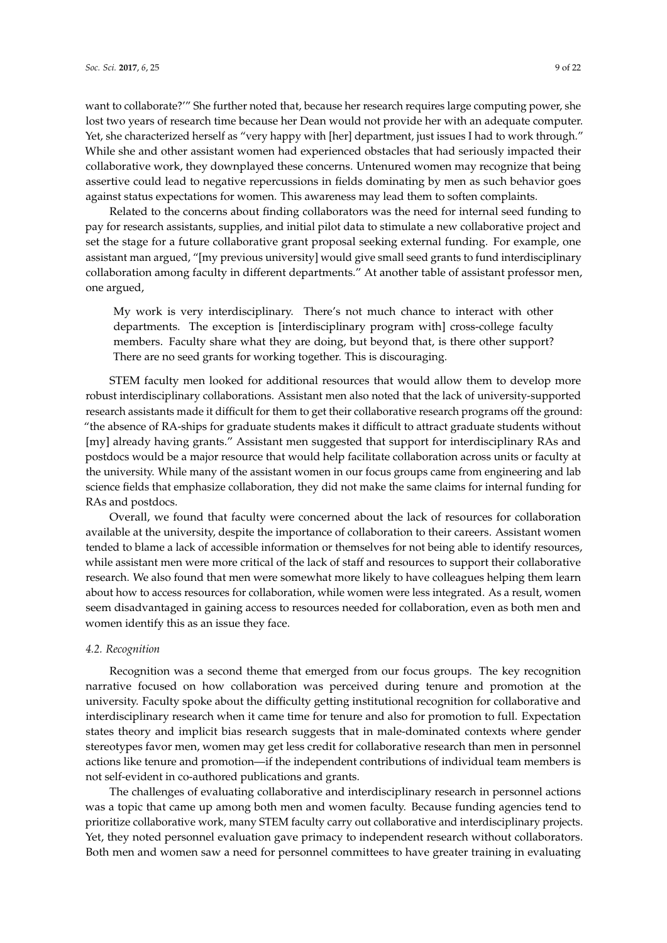want to collaborate?'" She further noted that, because her research requires large computing power, she lost two years of research time because her Dean would not provide her with an adequate computer. Yet, she characterized herself as "very happy with [her] department, just issues I had to work through." While she and other assistant women had experienced obstacles that had seriously impacted their collaborative work, they downplayed these concerns. Untenured women may recognize that being assertive could lead to negative repercussions in fields dominating by men as such behavior goes against status expectations for women. This awareness may lead them to soften complaints.

Related to the concerns about finding collaborators was the need for internal seed funding to pay for research assistants, supplies, and initial pilot data to stimulate a new collaborative project and set the stage for a future collaborative grant proposal seeking external funding. For example, one assistant man argued, "[my previous university] would give small seed grants to fund interdisciplinary collaboration among faculty in different departments." At another table of assistant professor men, one argued,

My work is very interdisciplinary. There's not much chance to interact with other departments. The exception is [interdisciplinary program with] cross-college faculty members. Faculty share what they are doing, but beyond that, is there other support? There are no seed grants for working together. This is discouraging.

STEM faculty men looked for additional resources that would allow them to develop more robust interdisciplinary collaborations. Assistant men also noted that the lack of university-supported research assistants made it difficult for them to get their collaborative research programs off the ground: "the absence of RA-ships for graduate students makes it difficult to attract graduate students without [my] already having grants." Assistant men suggested that support for interdisciplinary RAs and postdocs would be a major resource that would help facilitate collaboration across units or faculty at the university. While many of the assistant women in our focus groups came from engineering and lab science fields that emphasize collaboration, they did not make the same claims for internal funding for RAs and postdocs.

Overall, we found that faculty were concerned about the lack of resources for collaboration available at the university, despite the importance of collaboration to their careers. Assistant women tended to blame a lack of accessible information or themselves for not being able to identify resources, while assistant men were more critical of the lack of staff and resources to support their collaborative research. We also found that men were somewhat more likely to have colleagues helping them learn about how to access resources for collaboration, while women were less integrated. As a result, women seem disadvantaged in gaining access to resources needed for collaboration, even as both men and women identify this as an issue they face.

#### *4.2. Recognition*

Recognition was a second theme that emerged from our focus groups. The key recognition narrative focused on how collaboration was perceived during tenure and promotion at the university. Faculty spoke about the difficulty getting institutional recognition for collaborative and interdisciplinary research when it came time for tenure and also for promotion to full. Expectation states theory and implicit bias research suggests that in male-dominated contexts where gender stereotypes favor men, women may get less credit for collaborative research than men in personnel actions like tenure and promotion—if the independent contributions of individual team members is not self-evident in co-authored publications and grants.

The challenges of evaluating collaborative and interdisciplinary research in personnel actions was a topic that came up among both men and women faculty. Because funding agencies tend to prioritize collaborative work, many STEM faculty carry out collaborative and interdisciplinary projects. Yet, they noted personnel evaluation gave primacy to independent research without collaborators. Both men and women saw a need for personnel committees to have greater training in evaluating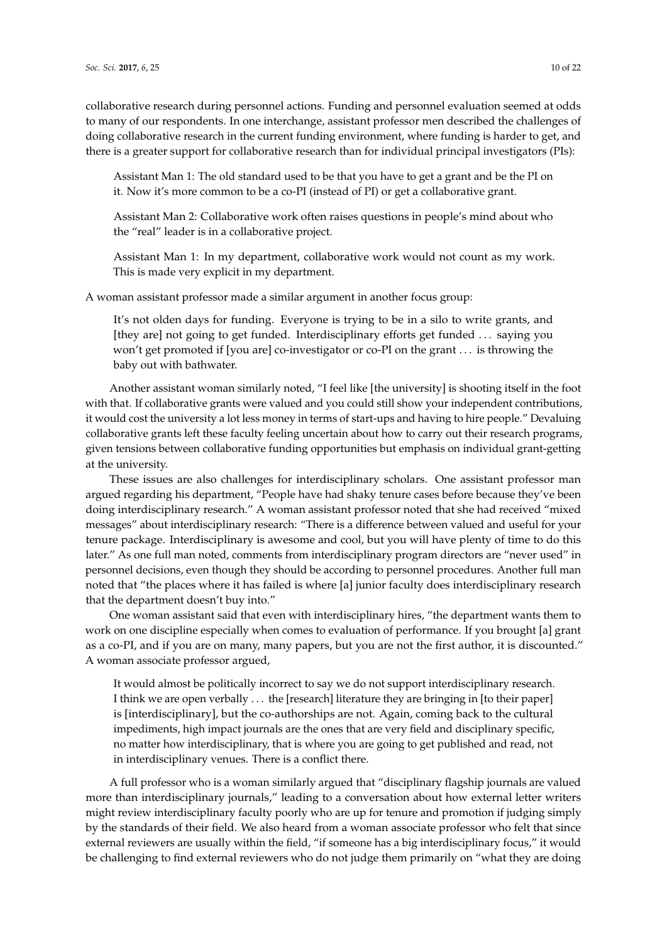collaborative research during personnel actions. Funding and personnel evaluation seemed at odds to many of our respondents. In one interchange, assistant professor men described the challenges of doing collaborative research in the current funding environment, where funding is harder to get, and there is a greater support for collaborative research than for individual principal investigators (PIs):

Assistant Man 1: The old standard used to be that you have to get a grant and be the PI on it. Now it's more common to be a co-PI (instead of PI) or get a collaborative grant.

Assistant Man 2: Collaborative work often raises questions in people's mind about who the "real" leader is in a collaborative project.

Assistant Man 1: In my department, collaborative work would not count as my work. This is made very explicit in my department.

A woman assistant professor made a similar argument in another focus group:

It's not olden days for funding. Everyone is trying to be in a silo to write grants, and [they are] not going to get funded. Interdisciplinary efforts get funded . . . saying you won't get promoted if [you are] co-investigator or co-PI on the grant . . . is throwing the baby out with bathwater.

Another assistant woman similarly noted, "I feel like [the university] is shooting itself in the foot with that. If collaborative grants were valued and you could still show your independent contributions, it would cost the university a lot less money in terms of start-ups and having to hire people." Devaluing collaborative grants left these faculty feeling uncertain about how to carry out their research programs, given tensions between collaborative funding opportunities but emphasis on individual grant-getting at the university.

These issues are also challenges for interdisciplinary scholars. One assistant professor man argued regarding his department, "People have had shaky tenure cases before because they've been doing interdisciplinary research." A woman assistant professor noted that she had received "mixed messages" about interdisciplinary research: "There is a difference between valued and useful for your tenure package. Interdisciplinary is awesome and cool, but you will have plenty of time to do this later." As one full man noted, comments from interdisciplinary program directors are "never used" in personnel decisions, even though they should be according to personnel procedures. Another full man noted that "the places where it has failed is where [a] junior faculty does interdisciplinary research that the department doesn't buy into."

One woman assistant said that even with interdisciplinary hires, "the department wants them to work on one discipline especially when comes to evaluation of performance. If you brought [a] grant as a co-PI, and if you are on many, many papers, but you are not the first author, it is discounted." A woman associate professor argued,

It would almost be politically incorrect to say we do not support interdisciplinary research. I think we are open verbally . . . the [research] literature they are bringing in [to their paper] is [interdisciplinary], but the co-authorships are not. Again, coming back to the cultural impediments, high impact journals are the ones that are very field and disciplinary specific, no matter how interdisciplinary, that is where you are going to get published and read, not in interdisciplinary venues. There is a conflict there.

A full professor who is a woman similarly argued that "disciplinary flagship journals are valued more than interdisciplinary journals," leading to a conversation about how external letter writers might review interdisciplinary faculty poorly who are up for tenure and promotion if judging simply by the standards of their field. We also heard from a woman associate professor who felt that since external reviewers are usually within the field, "if someone has a big interdisciplinary focus," it would be challenging to find external reviewers who do not judge them primarily on "what they are doing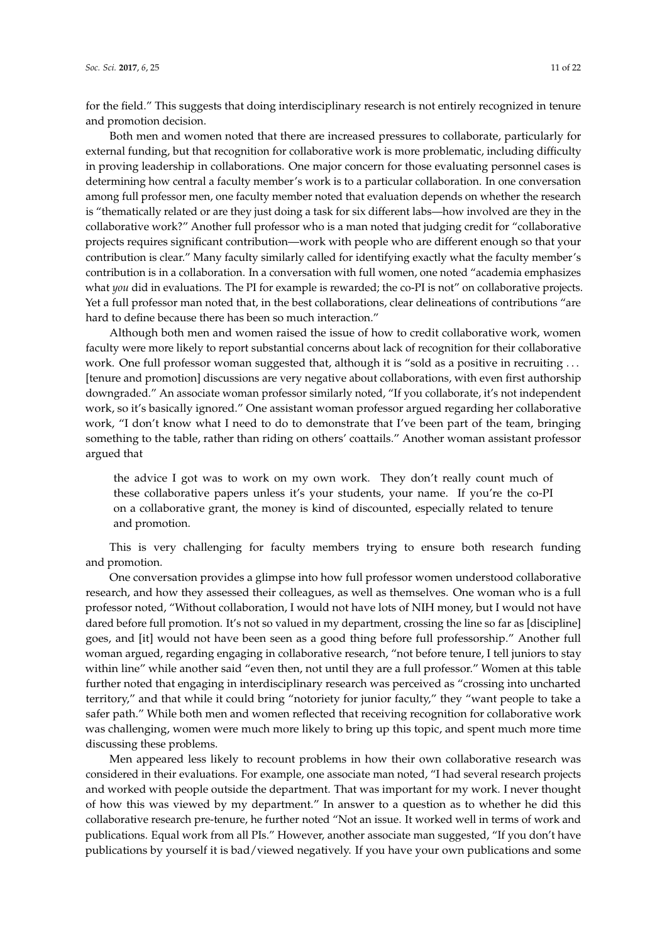for the field." This suggests that doing interdisciplinary research is not entirely recognized in tenure and promotion decision.

Both men and women noted that there are increased pressures to collaborate, particularly for external funding, but that recognition for collaborative work is more problematic, including difficulty in proving leadership in collaborations. One major concern for those evaluating personnel cases is determining how central a faculty member's work is to a particular collaboration. In one conversation among full professor men, one faculty member noted that evaluation depends on whether the research is "thematically related or are they just doing a task for six different labs—how involved are they in the collaborative work?" Another full professor who is a man noted that judging credit for "collaborative projects requires significant contribution—work with people who are different enough so that your contribution is clear." Many faculty similarly called for identifying exactly what the faculty member's contribution is in a collaboration. In a conversation with full women, one noted "academia emphasizes what *you* did in evaluations. The PI for example is rewarded; the co-PI is not" on collaborative projects. Yet a full professor man noted that, in the best collaborations, clear delineations of contributions "are hard to define because there has been so much interaction."

Although both men and women raised the issue of how to credit collaborative work, women faculty were more likely to report substantial concerns about lack of recognition for their collaborative work. One full professor woman suggested that, although it is "sold as a positive in recruiting . . . [tenure and promotion] discussions are very negative about collaborations, with even first authorship downgraded." An associate woman professor similarly noted, "If you collaborate, it's not independent work, so it's basically ignored." One assistant woman professor argued regarding her collaborative work, "I don't know what I need to do to demonstrate that I've been part of the team, bringing something to the table, rather than riding on others' coattails." Another woman assistant professor argued that

the advice I got was to work on my own work. They don't really count much of these collaborative papers unless it's your students, your name. If you're the co-PI on a collaborative grant, the money is kind of discounted, especially related to tenure and promotion.

This is very challenging for faculty members trying to ensure both research funding and promotion.

One conversation provides a glimpse into how full professor women understood collaborative research, and how they assessed their colleagues, as well as themselves. One woman who is a full professor noted, "Without collaboration, I would not have lots of NIH money, but I would not have dared before full promotion. It's not so valued in my department, crossing the line so far as [discipline] goes, and [it] would not have been seen as a good thing before full professorship." Another full woman argued, regarding engaging in collaborative research, "not before tenure, I tell juniors to stay within line" while another said "even then, not until they are a full professor." Women at this table further noted that engaging in interdisciplinary research was perceived as "crossing into uncharted territory," and that while it could bring "notoriety for junior faculty," they "want people to take a safer path." While both men and women reflected that receiving recognition for collaborative work was challenging, women were much more likely to bring up this topic, and spent much more time discussing these problems.

Men appeared less likely to recount problems in how their own collaborative research was considered in their evaluations. For example, one associate man noted, "I had several research projects and worked with people outside the department. That was important for my work. I never thought of how this was viewed by my department." In answer to a question as to whether he did this collaborative research pre-tenure, he further noted "Not an issue. It worked well in terms of work and publications. Equal work from all PIs." However, another associate man suggested, "If you don't have publications by yourself it is bad/viewed negatively. If you have your own publications and some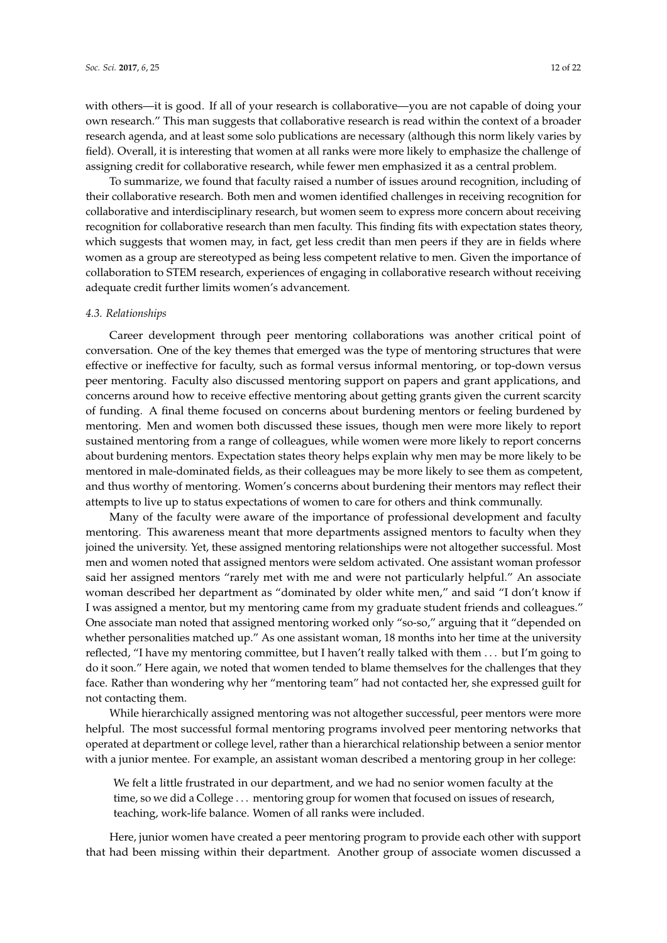with others—it is good. If all of your research is collaborative—you are not capable of doing your own research." This man suggests that collaborative research is read within the context of a broader research agenda, and at least some solo publications are necessary (although this norm likely varies by field). Overall, it is interesting that women at all ranks were more likely to emphasize the challenge of assigning credit for collaborative research, while fewer men emphasized it as a central problem.

To summarize, we found that faculty raised a number of issues around recognition, including of their collaborative research. Both men and women identified challenges in receiving recognition for collaborative and interdisciplinary research, but women seem to express more concern about receiving recognition for collaborative research than men faculty. This finding fits with expectation states theory, which suggests that women may, in fact, get less credit than men peers if they are in fields where women as a group are stereotyped as being less competent relative to men. Given the importance of collaboration to STEM research, experiences of engaging in collaborative research without receiving adequate credit further limits women's advancement.

#### *4.3. Relationships*

Career development through peer mentoring collaborations was another critical point of conversation. One of the key themes that emerged was the type of mentoring structures that were effective or ineffective for faculty, such as formal versus informal mentoring, or top-down versus peer mentoring. Faculty also discussed mentoring support on papers and grant applications, and concerns around how to receive effective mentoring about getting grants given the current scarcity of funding. A final theme focused on concerns about burdening mentors or feeling burdened by mentoring. Men and women both discussed these issues, though men were more likely to report sustained mentoring from a range of colleagues, while women were more likely to report concerns about burdening mentors. Expectation states theory helps explain why men may be more likely to be mentored in male-dominated fields, as their colleagues may be more likely to see them as competent, and thus worthy of mentoring. Women's concerns about burdening their mentors may reflect their attempts to live up to status expectations of women to care for others and think communally.

Many of the faculty were aware of the importance of professional development and faculty mentoring. This awareness meant that more departments assigned mentors to faculty when they joined the university. Yet, these assigned mentoring relationships were not altogether successful. Most men and women noted that assigned mentors were seldom activated. One assistant woman professor said her assigned mentors "rarely met with me and were not particularly helpful." An associate woman described her department as "dominated by older white men," and said "I don't know if I was assigned a mentor, but my mentoring came from my graduate student friends and colleagues." One associate man noted that assigned mentoring worked only "so-so," arguing that it "depended on whether personalities matched up." As one assistant woman, 18 months into her time at the university reflected, "I have my mentoring committee, but I haven't really talked with them . . . but I'm going to do it soon." Here again, we noted that women tended to blame themselves for the challenges that they face. Rather than wondering why her "mentoring team" had not contacted her, she expressed guilt for not contacting them.

While hierarchically assigned mentoring was not altogether successful, peer mentors were more helpful. The most successful formal mentoring programs involved peer mentoring networks that operated at department or college level, rather than a hierarchical relationship between a senior mentor with a junior mentee. For example, an assistant woman described a mentoring group in her college:

We felt a little frustrated in our department, and we had no senior women faculty at the time, so we did a College . . . mentoring group for women that focused on issues of research, teaching, work-life balance. Women of all ranks were included.

Here, junior women have created a peer mentoring program to provide each other with support that had been missing within their department. Another group of associate women discussed a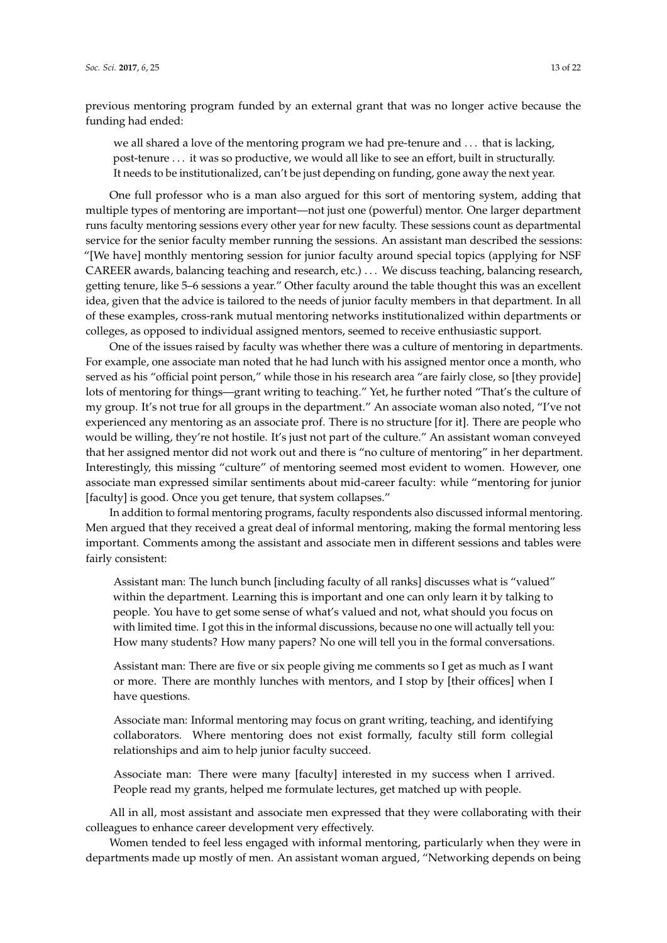previous mentoring program funded by an external grant that was no longer active because the funding had ended:

we all shared a love of the mentoring program we had pre-tenure and . . . that is lacking, post-tenure . . . it was so productive, we would all like to see an effort, built in structurally. It needs to be institutionalized, can't be just depending on funding, gone away the next year.

One full professor who is a man also argued for this sort of mentoring system, adding that multiple types of mentoring are important—not just one (powerful) mentor. One larger department runs faculty mentoring sessions every other year for new faculty. These sessions count as departmental service for the senior faculty member running the sessions. An assistant man described the sessions: "[We have] monthly mentoring session for junior faculty around special topics (applying for NSF CAREER awards, balancing teaching and research, etc.) . . . We discuss teaching, balancing research, getting tenure, like 5–6 sessions a year." Other faculty around the table thought this was an excellent idea, given that the advice is tailored to the needs of junior faculty members in that department. In all of these examples, cross-rank mutual mentoring networks institutionalized within departments or colleges, as opposed to individual assigned mentors, seemed to receive enthusiastic support.

One of the issues raised by faculty was whether there was a culture of mentoring in departments. For example, one associate man noted that he had lunch with his assigned mentor once a month, who served as his "official point person," while those in his research area "are fairly close, so [they provide] lots of mentoring for things—grant writing to teaching." Yet, he further noted "That's the culture of my group. It's not true for all groups in the department." An associate woman also noted, "I've not experienced any mentoring as an associate prof. There is no structure [for it]. There are people who would be willing, they're not hostile. It's just not part of the culture." An assistant woman conveyed that her assigned mentor did not work out and there is "no culture of mentoring" in her department. Interestingly, this missing "culture" of mentoring seemed most evident to women. However, one associate man expressed similar sentiments about mid-career faculty: while "mentoring for junior [faculty] is good. Once you get tenure, that system collapses."

In addition to formal mentoring programs, faculty respondents also discussed informal mentoring. Men argued that they received a great deal of informal mentoring, making the formal mentoring less important. Comments among the assistant and associate men in different sessions and tables were fairly consistent:

Assistant man: The lunch bunch [including faculty of all ranks] discusses what is "valued" within the department. Learning this is important and one can only learn it by talking to people. You have to get some sense of what's valued and not, what should you focus on with limited time. I got this in the informal discussions, because no one will actually tell you: How many students? How many papers? No one will tell you in the formal conversations.

Assistant man: There are five or six people giving me comments so I get as much as I want or more. There are monthly lunches with mentors, and I stop by [their offices] when I have questions.

Associate man: Informal mentoring may focus on grant writing, teaching, and identifying collaborators. Where mentoring does not exist formally, faculty still form collegial relationships and aim to help junior faculty succeed.

Associate man: There were many [faculty] interested in my success when I arrived. People read my grants, helped me formulate lectures, get matched up with people.

All in all, most assistant and associate men expressed that they were collaborating with their colleagues to enhance career development very effectively.

Women tended to feel less engaged with informal mentoring, particularly when they were in departments made up mostly of men. An assistant woman argued, "Networking depends on being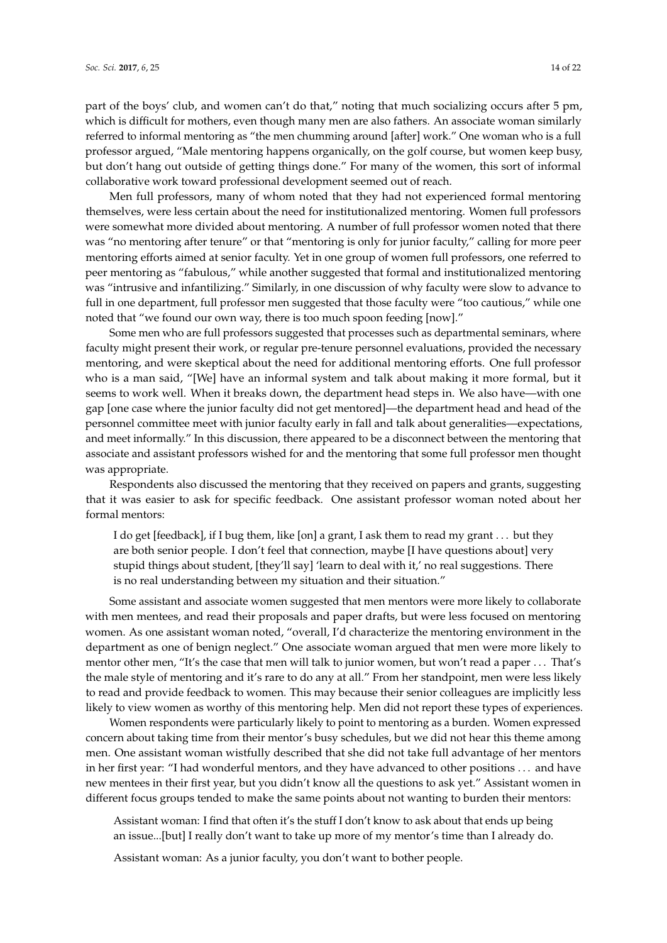part of the boys' club, and women can't do that," noting that much socializing occurs after 5 pm, which is difficult for mothers, even though many men are also fathers. An associate woman similarly referred to informal mentoring as "the men chumming around [after] work." One woman who is a full professor argued, "Male mentoring happens organically, on the golf course, but women keep busy, but don't hang out outside of getting things done." For many of the women, this sort of informal collaborative work toward professional development seemed out of reach.

Men full professors, many of whom noted that they had not experienced formal mentoring themselves, were less certain about the need for institutionalized mentoring. Women full professors were somewhat more divided about mentoring. A number of full professor women noted that there was "no mentoring after tenure" or that "mentoring is only for junior faculty," calling for more peer mentoring efforts aimed at senior faculty. Yet in one group of women full professors, one referred to peer mentoring as "fabulous," while another suggested that formal and institutionalized mentoring was "intrusive and infantilizing." Similarly, in one discussion of why faculty were slow to advance to full in one department, full professor men suggested that those faculty were "too cautious," while one noted that "we found our own way, there is too much spoon feeding [now]."

Some men who are full professors suggested that processes such as departmental seminars, where faculty might present their work, or regular pre-tenure personnel evaluations, provided the necessary mentoring, and were skeptical about the need for additional mentoring efforts. One full professor who is a man said, "[We] have an informal system and talk about making it more formal, but it seems to work well. When it breaks down, the department head steps in. We also have—with one gap [one case where the junior faculty did not get mentored]—the department head and head of the personnel committee meet with junior faculty early in fall and talk about generalities—expectations, and meet informally." In this discussion, there appeared to be a disconnect between the mentoring that associate and assistant professors wished for and the mentoring that some full professor men thought was appropriate.

Respondents also discussed the mentoring that they received on papers and grants, suggesting that it was easier to ask for specific feedback. One assistant professor woman noted about her formal mentors:

I do get [feedback], if I bug them, like [on] a grant, I ask them to read my grant . . . but they are both senior people. I don't feel that connection, maybe [I have questions about] very stupid things about student, [they'll say] 'learn to deal with it,' no real suggestions. There is no real understanding between my situation and their situation."

Some assistant and associate women suggested that men mentors were more likely to collaborate with men mentees, and read their proposals and paper drafts, but were less focused on mentoring women. As one assistant woman noted, "overall, I'd characterize the mentoring environment in the department as one of benign neglect." One associate woman argued that men were more likely to mentor other men, "It's the case that men will talk to junior women, but won't read a paper . . . That's the male style of mentoring and it's rare to do any at all." From her standpoint, men were less likely to read and provide feedback to women. This may because their senior colleagues are implicitly less likely to view women as worthy of this mentoring help. Men did not report these types of experiences.

Women respondents were particularly likely to point to mentoring as a burden. Women expressed concern about taking time from their mentor's busy schedules, but we did not hear this theme among men. One assistant woman wistfully described that she did not take full advantage of her mentors in her first year: "I had wonderful mentors, and they have advanced to other positions . . . and have new mentees in their first year, but you didn't know all the questions to ask yet." Assistant women in different focus groups tended to make the same points about not wanting to burden their mentors:

Assistant woman: I find that often it's the stuff I don't know to ask about that ends up being an issue...[but] I really don't want to take up more of my mentor's time than I already do.

Assistant woman: As a junior faculty, you don't want to bother people.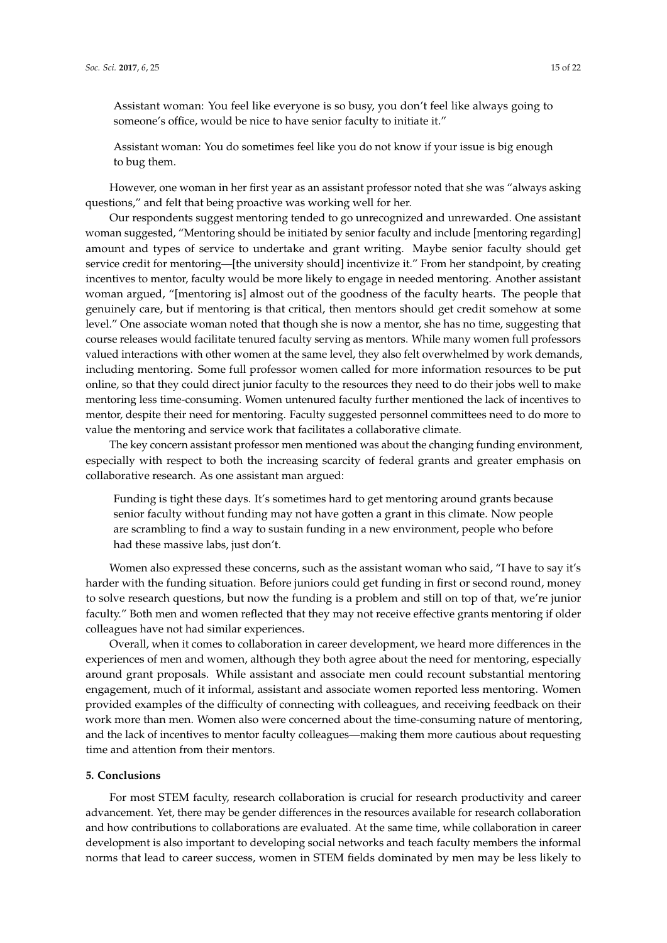Assistant woman: You do sometimes feel like you do not know if your issue is big enough to bug them.

However, one woman in her first year as an assistant professor noted that she was "always asking questions," and felt that being proactive was working well for her.

Our respondents suggest mentoring tended to go unrecognized and unrewarded. One assistant woman suggested, "Mentoring should be initiated by senior faculty and include [mentoring regarding] amount and types of service to undertake and grant writing. Maybe senior faculty should get service credit for mentoring—[the university should] incentivize it." From her standpoint, by creating incentives to mentor, faculty would be more likely to engage in needed mentoring. Another assistant woman argued, "[mentoring is] almost out of the goodness of the faculty hearts. The people that genuinely care, but if mentoring is that critical, then mentors should get credit somehow at some level." One associate woman noted that though she is now a mentor, she has no time, suggesting that course releases would facilitate tenured faculty serving as mentors. While many women full professors valued interactions with other women at the same level, they also felt overwhelmed by work demands, including mentoring. Some full professor women called for more information resources to be put online, so that they could direct junior faculty to the resources they need to do their jobs well to make mentoring less time-consuming. Women untenured faculty further mentioned the lack of incentives to mentor, despite their need for mentoring. Faculty suggested personnel committees need to do more to value the mentoring and service work that facilitates a collaborative climate.

The key concern assistant professor men mentioned was about the changing funding environment, especially with respect to both the increasing scarcity of federal grants and greater emphasis on collaborative research. As one assistant man argued:

Funding is tight these days. It's sometimes hard to get mentoring around grants because senior faculty without funding may not have gotten a grant in this climate. Now people are scrambling to find a way to sustain funding in a new environment, people who before had these massive labs, just don't.

Women also expressed these concerns, such as the assistant woman who said, "I have to say it's harder with the funding situation. Before juniors could get funding in first or second round, money to solve research questions, but now the funding is a problem and still on top of that, we're junior faculty." Both men and women reflected that they may not receive effective grants mentoring if older colleagues have not had similar experiences.

Overall, when it comes to collaboration in career development, we heard more differences in the experiences of men and women, although they both agree about the need for mentoring, especially around grant proposals. While assistant and associate men could recount substantial mentoring engagement, much of it informal, assistant and associate women reported less mentoring. Women provided examples of the difficulty of connecting with colleagues, and receiving feedback on their work more than men. Women also were concerned about the time-consuming nature of mentoring, and the lack of incentives to mentor faculty colleagues—making them more cautious about requesting time and attention from their mentors.

# **5. Conclusions**

For most STEM faculty, research collaboration is crucial for research productivity and career advancement. Yet, there may be gender differences in the resources available for research collaboration and how contributions to collaborations are evaluated. At the same time, while collaboration in career development is also important to developing social networks and teach faculty members the informal norms that lead to career success, women in STEM fields dominated by men may be less likely to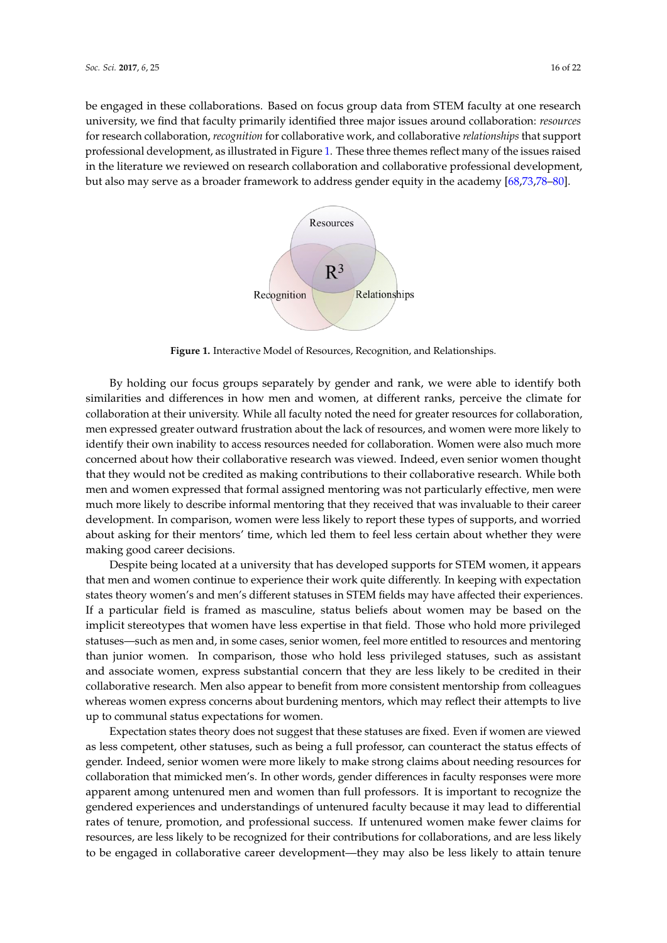<span id="page-15-0"></span>be engaged in these collaborations. Based on focus group data from STEM faculty at one research university, we find that faculty primarily identified three major issues around collaboration: *resources* for research collaboration*, recognition f*or collaborative work, and collaborative *relationships* that support professional development, as illustrated in Figure [1.](#page-15-0) These three themes reflect many of the issues raised in the literature we reviewed on research collaboration and collaborative professional development, but also may serve as a broader framework to address gender equity in the academy  $[68,73,78\text{\textendash}80].$  $[68,73,78\text{\textendash}80].$  $[68,73,78\text{\textendash}80].$  $[68,73,78\text{\textendash}80].$  $[68,73,78\text{\textendash}80].$ 



**Figure 1.** Interactive Model of Resources, Recognition, and Relationships. **Figure 1.** Interactive Model of Resources, Recognition, and Relationships.

By holding our focus groups separately by gender and rank, we were able to identify both similarities and differences in how men and women, at different ranks, perceive the climate for collaboration at their university. While all faculty noted the need for greater resources for collaboration, men expressed greater outward frustration about the lack of resources, and women were more likely to identify their own inability to access resources needed for collaboration. Women were also much more concerned about how their collaborative research was viewed. Indeed, even senior women thought that they would not be credited as making contributions to their collaborative research. While both men and women expressed that formal assigned mentoring was not particularly effective, men were much more likely to describe informal mentoring that they received that was invaluable to their career development. In comparison, women were less likely to report these types of supports, and worried about asking for their mentors' time, which led them to feel less certain about whether they were making good career decisions.

Despite being located at a university that has developed supports for STEM women, it appears that men and women continue to experience their work quite differently. In keeping with expectation states theory women's and men's different statuses in STEM fields may have affected their experiences. If a particular field is framed as masculine, status beliefs about women may be based on the implicit stereotypes that women have less expertise in that field. Those who hold more privileged statuses—such as men and, in some cases, senior women, feel more entitled to resources and mentoring than junior women. In comparison, those who hold less privileged statuses, such as assistant and associate women, express substantial concern that they are less likely to be credited in their collaborative research. Men also appear to benefit from more consistent mentorship from colleagues whereas women express concerns about burdening mentors, which may reflect their attempts to live up to communal status expectations for women.

Expectation states theory does not suggest that these statuses are fixed. Even if women are viewed as less competent, other statuses, such as being a full professor, can counteract the status effects of gender. Indeed, senior women were more likely to make strong claims about needing resources for collaboration that mimicked men's. In other words, gender differences in faculty responses were more apparent among untenured men and women than full professors. It is important to recognize the gendered experiences and understandings of untenured faculty because it may lead to differential rates of tenure, promotion, and professional success. If untenured women make fewer claims for resources, are less likely to be recognized for their contributions for collaborations, and are less likely to be engaged in collaborative career development—they may also be less likely to attain tenure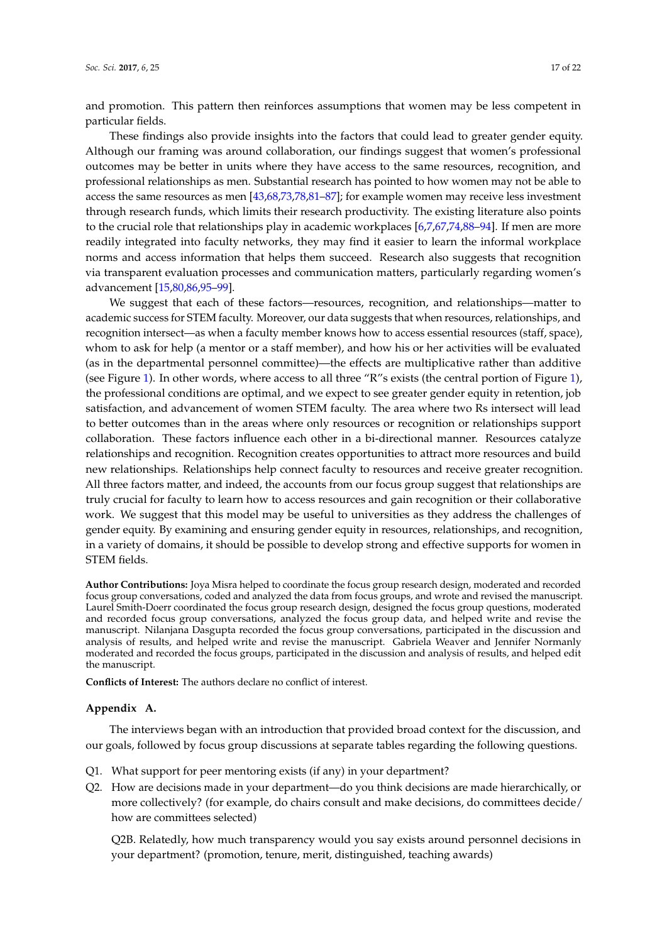and promotion. This pattern then reinforces assumptions that women may be less competent in particular fields.

These findings also provide insights into the factors that could lead to greater gender equity. Although our framing was around collaboration, our findings suggest that women's professional outcomes may be better in units where they have access to the same resources, recognition, and professional relationships as men. Substantial research has pointed to how women may not be able to access the same resources as men [\[43](#page-19-0)[,68](#page-20-10)[,73,](#page-20-8)[78,](#page-20-14)[81–](#page-20-16)[87\]](#page-21-0); for example women may receive less investment through research funds, which limits their research productivity. The existing literature also points to the crucial role that relationships play in academic workplaces [\[6](#page-17-13)[,7](#page-17-4)[,67](#page-20-3)[,74](#page-20-9)[,88–](#page-21-1)[94\]](#page-21-2). If men are more readily integrated into faculty networks, they may find it easier to learn the informal workplace norms and access information that helps them succeed. Research also suggests that recognition via transparent evaluation processes and communication matters, particularly regarding women's advancement [\[15,](#page-17-11)[80,](#page-20-15)[86](#page-20-17)[,95–](#page-21-3)[99\]](#page-21-4).

We suggest that each of these factors—resources, recognition, and relationships—matter to academic success for STEM faculty. Moreover, our data suggests that when resources, relationships, and recognition intersect—as when a faculty member knows how to access essential resources (staff, space), whom to ask for help (a mentor or a staff member), and how his or her activities will be evaluated (as in the departmental personnel committee)—the effects are multiplicative rather than additive (see Figure [1\)](#page-15-0). In other words, where access to all three "R"s exists (the central portion of Figure [1\)](#page-15-0), the professional conditions are optimal, and we expect to see greater gender equity in retention, job satisfaction, and advancement of women STEM faculty. The area where two Rs intersect will lead to better outcomes than in the areas where only resources or recognition or relationships support collaboration. These factors influence each other in a bi-directional manner. Resources catalyze relationships and recognition. Recognition creates opportunities to attract more resources and build new relationships. Relationships help connect faculty to resources and receive greater recognition. All three factors matter, and indeed, the accounts from our focus group suggest that relationships are truly crucial for faculty to learn how to access resources and gain recognition or their collaborative work. We suggest that this model may be useful to universities as they address the challenges of gender equity. By examining and ensuring gender equity in resources, relationships, and recognition, in a variety of domains, it should be possible to develop strong and effective supports for women in STEM fields.

**Author Contributions:** Joya Misra helped to coordinate the focus group research design, moderated and recorded focus group conversations, coded and analyzed the data from focus groups, and wrote and revised the manuscript. Laurel Smith-Doerr coordinated the focus group research design, designed the focus group questions, moderated and recorded focus group conversations, analyzed the focus group data, and helped write and revise the manuscript. Nilanjana Dasgupta recorded the focus group conversations, participated in the discussion and analysis of results, and helped write and revise the manuscript. Gabriela Weaver and Jennifer Normanly moderated and recorded the focus groups, participated in the discussion and analysis of results, and helped edit the manuscript.

**Conflicts of Interest:** The authors declare no conflict of interest.

# <span id="page-16-0"></span>**Appendix A.**

The interviews began with an introduction that provided broad context for the discussion, and our goals, followed by focus group discussions at separate tables regarding the following questions.

- Q1. What support for peer mentoring exists (if any) in your department?
- Q2. How are decisions made in your department—do you think decisions are made hierarchically, or more collectively? (for example, do chairs consult and make decisions, do committees decide/ how are committees selected)

Q2B. Relatedly, how much transparency would you say exists around personnel decisions in your department? (promotion, tenure, merit, distinguished, teaching awards)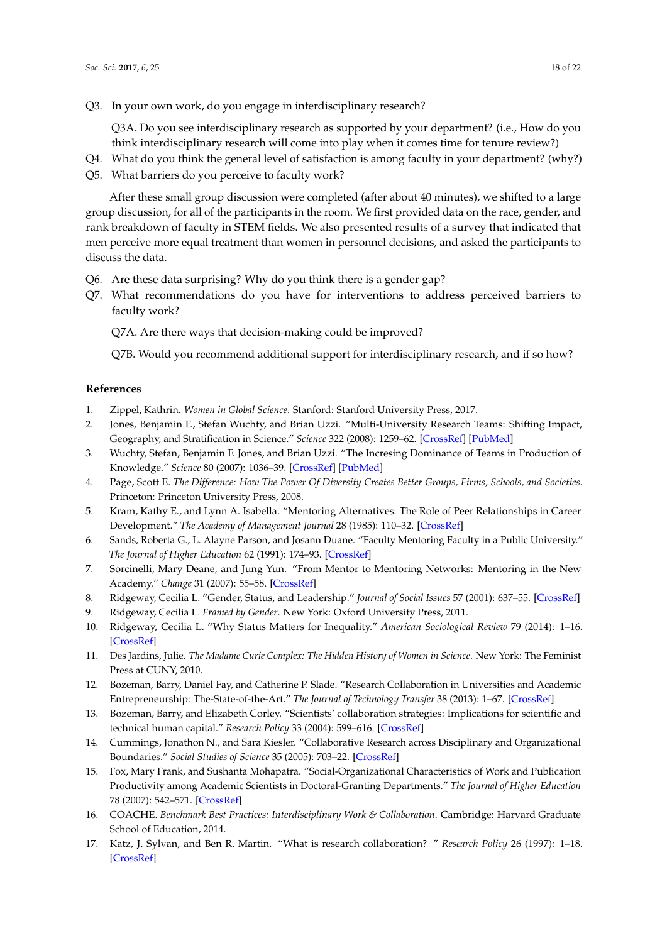Q3A. Do you see interdisciplinary research as supported by your department? (i.e., How do you think interdisciplinary research will come into play when it comes time for tenure review?)

- Q4. What do you think the general level of satisfaction is among faculty in your department? (why?)
- Q5. What barriers do you perceive to faculty work?

After these small group discussion were completed (after about 40 minutes), we shifted to a large group discussion, for all of the participants in the room. We first provided data on the race, gender, and rank breakdown of faculty in STEM fields. We also presented results of a survey that indicated that men perceive more equal treatment than women in personnel decisions, and asked the participants to discuss the data.

- Q6. Are these data surprising? Why do you think there is a gender gap?
- Q7. What recommendations do you have for interventions to address perceived barriers to faculty work?

Q7A. Are there ways that decision-making could be improved?

Q7B. Would you recommend additional support for interdisciplinary research, and if so how?

# **References**

- <span id="page-17-0"></span>1. Zippel, Kathrin. *Women in Global Science*. Stanford: Stanford University Press, 2017.
- <span id="page-17-1"></span>2. Jones, Benjamin F., Stefan Wuchty, and Brian Uzzi. "Multi-University Research Teams: Shifting Impact, Geography, and Stratification in Science." *Science* 322 (2008): 1259–62. [\[CrossRef\]](http://dx.doi.org/10.1126/science.1158357) [\[PubMed\]](http://www.ncbi.nlm.nih.gov/pubmed/18845711)
- 3. Wuchty, Stefan, Benjamin F. Jones, and Brian Uzzi. "The Incresing Dominance of Teams in Production of Knowledge." *Science* 80 (2007): 1036–39. [\[CrossRef\]](http://dx.doi.org/10.1126/science.1136099) [\[PubMed\]](http://www.ncbi.nlm.nih.gov/pubmed/17431139)
- <span id="page-17-2"></span>4. Page, Scott E. *The Difference: How The Power Of Diversity Creates Better Groups, Firms, Schools, and Societies*. Princeton: Princeton University Press, 2008.
- <span id="page-17-3"></span>5. Kram, Kathy E., and Lynn A. Isabella. "Mentoring Alternatives: The Role of Peer Relationships in Career Development." *The Academy of Management Journal* 28 (1985): 110–32. [\[CrossRef\]](http://dx.doi.org/10.2307/256064)
- <span id="page-17-13"></span>6. Sands, Roberta G., L. Alayne Parson, and Josann Duane. "Faculty Mentoring Faculty in a Public University." *The Journal of Higher Education* 62 (1991): 174–93. [\[CrossRef\]](http://dx.doi.org/10.2307/1982144)
- <span id="page-17-4"></span>7. Sorcinelli, Mary Deane, and Jung Yun. "From Mentor to Mentoring Networks: Mentoring in the New Academy." *Change* 31 (2007): 55–58. [\[CrossRef\]](http://dx.doi.org/10.3200/CHNG.39.6.58-C4)
- <span id="page-17-5"></span>8. Ridgeway, Cecilia L. "Gender, Status, and Leadership." *Journal of Social Issues* 57 (2001): 637–55. [\[CrossRef\]](http://dx.doi.org/10.1111/0022-4537.00233)
- 9. Ridgeway, Cecilia L. *Framed by Gender*. New York: Oxford University Press, 2011.
- <span id="page-17-6"></span>10. Ridgeway, Cecilia L. "Why Status Matters for Inequality." *American Sociological Review* 79 (2014): 1–16. [\[CrossRef\]](http://dx.doi.org/10.1177/0003122413515997)
- <span id="page-17-7"></span>11. Des Jardins, Julie. *The Madame Curie Complex: The Hidden History of Women in Science*. New York: The Feminist Press at CUNY, 2010.
- <span id="page-17-8"></span>12. Bozeman, Barry, Daniel Fay, and Catherine P. Slade. "Research Collaboration in Universities and Academic Entrepreneurship: The-State-of-the-Art." *The Journal of Technology Transfer* 38 (2013): 1–67. [\[CrossRef\]](http://dx.doi.org/10.1007/s10961-012-9281-8)
- <span id="page-17-9"></span>13. Bozeman, Barry, and Elizabeth Corley. "Scientists' collaboration strategies: Implications for scientific and technical human capital." *Research Policy* 33 (2004): 599–616. [\[CrossRef\]](http://dx.doi.org/10.1016/j.respol.2004.01.008)
- <span id="page-17-10"></span>14. Cummings, Jonathon N., and Sara Kiesler. "Collaborative Research across Disciplinary and Organizational Boundaries." *Social Studies of Science* 35 (2005): 703–22. [\[CrossRef\]](http://dx.doi.org/10.1177/0306312705055535)
- <span id="page-17-11"></span>15. Fox, Mary Frank, and Sushanta Mohapatra. "Social-Organizational Characteristics of Work and Publication Productivity among Academic Scientists in Doctoral-Granting Departments." *The Journal of Higher Education* 78 (2007): 542–571. [\[CrossRef\]](http://dx.doi.org/10.1353/jhe.2007.0032)
- 16. COACHE. *Benchmark Best Practices: Interdisciplinary Work & Collaboration*. Cambridge: Harvard Graduate School of Education, 2014.
- <span id="page-17-12"></span>17. Katz, J. Sylvan, and Ben R. Martin. "What is research collaboration? " *Research Policy* 26 (1997): 1–18. [\[CrossRef\]](http://dx.doi.org/10.1016/S0048-7333(96)00917-1)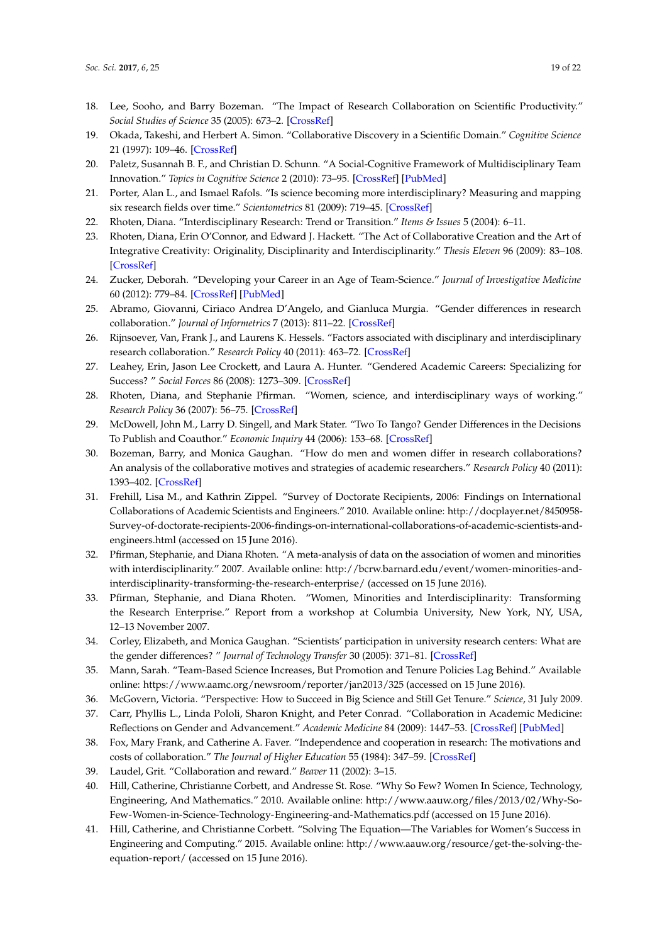- 18. Lee, Sooho, and Barry Bozeman. "The Impact of Research Collaboration on Scientific Productivity." *Social Studies of Science* 35 (2005): 673–2. [\[CrossRef\]](http://dx.doi.org/10.1177/0306312705052359)
- 19. Okada, Takeshi, and Herbert A. Simon. "Collaborative Discovery in a Scientific Domain." *Cognitive Science* 21 (1997): 109–46. [\[CrossRef\]](http://dx.doi.org/10.1207/s15516709cog2102_1)
- 20. Paletz, Susannah B. F., and Christian D. Schunn. "A Social-Cognitive Framework of Multidisciplinary Team Innovation." *Topics in Cognitive Science* 2 (2010): 73–95. [\[CrossRef\]](http://dx.doi.org/10.1111/j.1756-8765.2009.01029.x) [\[PubMed\]](http://www.ncbi.nlm.nih.gov/pubmed/25163622)
- 21. Porter, Alan L., and Ismael Rafols. "Is science becoming more interdisciplinary? Measuring and mapping six research fields over time." *Scientometrics* 81 (2009): 719–45. [\[CrossRef\]](http://dx.doi.org/10.1007/s11192-008-2197-2)
- 22. Rhoten, Diana. "Interdisciplinary Research: Trend or Transition." *Items & Issues* 5 (2004): 6–11.
- 23. Rhoten, Diana, Erin O'Connor, and Edward J. Hackett. "The Act of Collaborative Creation and the Art of Integrative Creativity: Originality, Disciplinarity and Interdisciplinarity." *Thesis Eleven* 96 (2009): 83–108. [\[CrossRef\]](http://dx.doi.org/10.1177/0725513608099121)
- <span id="page-18-0"></span>24. Zucker, Deborah. "Developing your Career in an Age of Team-Science." *Journal of Investigative Medicine* 60 (2012): 779–84. [\[CrossRef\]](http://dx.doi.org/10.2310/JIM.0b013e3182508317) [\[PubMed\]](http://www.ncbi.nlm.nih.gov/pubmed/22525235)
- <span id="page-18-1"></span>25. Abramo, Giovanni, Ciriaco Andrea D'Angelo, and Gianluca Murgia. "Gender differences in research collaboration." *Journal of Informetrics* 7 (2013): 811–22. [\[CrossRef\]](http://dx.doi.org/10.1016/j.joi.2013.07.002)
- 26. Rijnsoever, Van, Frank J., and Laurens K. Hessels. "Factors associated with disciplinary and interdisciplinary research collaboration." *Research Policy* 40 (2011): 463–72. [\[CrossRef\]](http://dx.doi.org/10.1016/j.respol.2010.11.001)
- 27. Leahey, Erin, Jason Lee Crockett, and Laura A. Hunter. "Gendered Academic Careers: Specializing for Success? " *Social Forces* 86 (2008): 1273–309. [\[CrossRef\]](http://dx.doi.org/10.1353/sof.0.0018)
- 28. Rhoten, Diana, and Stephanie Pfirman. "Women, science, and interdisciplinary ways of working." *Research Policy* 36 (2007): 56–75. [\[CrossRef\]](http://dx.doi.org/10.1016/j.respol.2006.08.001)
- 29. McDowell, John M., Larry D. Singell, and Mark Stater. "Two To Tango? Gender Differences in the Decisions To Publish and Coauthor." *Economic Inquiry* 44 (2006): 153–68. [\[CrossRef\]](http://dx.doi.org/10.1093/ei/cbi065)
- 30. Bozeman, Barry, and Monica Gaughan. "How do men and women differ in research collaborations? An analysis of the collaborative motives and strategies of academic researchers." *Research Policy* 40 (2011): 1393–402. [\[CrossRef\]](http://dx.doi.org/10.1016/j.respol.2011.07.002)
- 31. Frehill, Lisa M., and Kathrin Zippel. "Survey of Doctorate Recipients, 2006: Findings on International Collaborations of Academic Scientists and Engineers." 2010. Available online: http://docplayer.net/8450958- Survey-of-doctorate-recipients-2006-findings-on-international-collaborations-of-academic-scientists-andengineers.html (accessed on 15 June 2016).
- 32. Pfirman, Stephanie, and Diana Rhoten. "A meta-analysis of data on the association of women and minorities with interdisciplinarity." 2007. Available online: http://bcrw.barnard.edu/event/women-minorities-andinterdisciplinarity-transforming-the-research-enterprise/ (accessed on 15 June 2016).
- <span id="page-18-2"></span>33. Pfirman, Stephanie, and Diana Rhoten. "Women, Minorities and Interdisciplinarity: Transforming the Research Enterprise." Report from a workshop at Columbia University, New York, NY, USA, 12–13 November 2007.
- <span id="page-18-3"></span>34. Corley, Elizabeth, and Monica Gaughan. "Scientists' participation in university research centers: What are the gender differences? " *Journal of Technology Transfer* 30 (2005): 371–81. [\[CrossRef\]](http://dx.doi.org/10.1007/s10961-005-2582-4)
- <span id="page-18-4"></span>35. Mann, Sarah. "Team-Based Science Increases, But Promotion and Tenure Policies Lag Behind." Available online: https://www.aamc.org/newsroom/reporter/jan2013/325 (accessed on 15 June 2016).
- <span id="page-18-6"></span><span id="page-18-5"></span>36. McGovern, Victoria. "Perspective: How to Succeed in Big Science and Still Get Tenure." *Science*, 31 July 2009.
- 37. Carr, Phyllis L., Linda Pololi, Sharon Knight, and Peter Conrad. "Collaboration in Academic Medicine: Reflections on Gender and Advancement." *Academic Medicine* 84 (2009): 1447–53. [\[CrossRef\]](http://dx.doi.org/10.1097/ACM.0b013e3181b6ac27) [\[PubMed\]](http://www.ncbi.nlm.nih.gov/pubmed/19881441)
- <span id="page-18-7"></span>38. Fox, Mary Frank, and Catherine A. Faver. "Independence and cooperation in research: The motivations and costs of collaboration." *The Journal of Higher Education* 55 (1984): 347–59. [\[CrossRef\]](http://dx.doi.org/10.2307/1981888)
- <span id="page-18-8"></span>39. Laudel, Grit. "Collaboration and reward." *Beaver* 11 (2002): 3–15.
- <span id="page-18-9"></span>40. Hill, Catherine, Christianne Corbett, and Andresse St. Rose. "Why So Few? Women In Science, Technology, Engineering, And Mathematics." 2010. Available online: http://www.aauw.org/files/2013/02/Why-So-Few-Women-in-Science-Technology-Engineering-and-Mathematics.pdf (accessed on 15 June 2016).
- 41. Hill, Catherine, and Christianne Corbett. "Solving The Equation—The Variables for Women's Success in Engineering and Computing." 2015. Available online: http://www.aauw.org/resource/get-the-solving-theequation-report/ (accessed on 15 June 2016).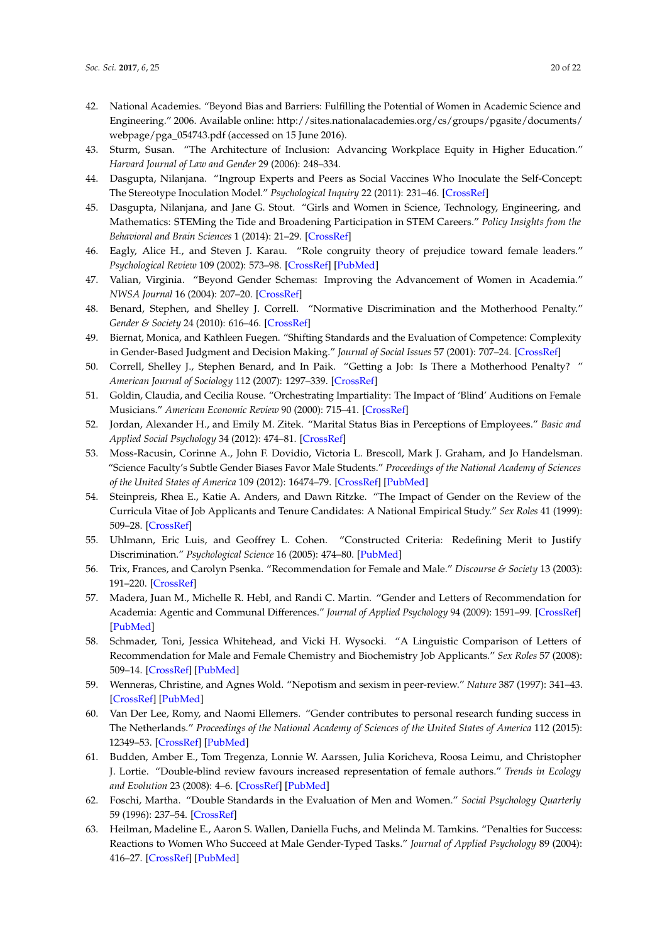- 42. National Academies. "Beyond Bias and Barriers: Fulfilling the Potential of Women in Academic Science and Engineering." 2006. Available online: http://sites.nationalacademies.org/cs/groups/pgasite/documents/ webpage/pga\_054743.pdf (accessed on 15 June 2016).
- <span id="page-19-0"></span>43. Sturm, Susan. "The Architecture of Inclusion: Advancing Workplace Equity in Higher Education." *Harvard Journal of Law and Gender* 29 (2006): 248–334.
- <span id="page-19-1"></span>44. Dasgupta, Nilanjana. "Ingroup Experts and Peers as Social Vaccines Who Inoculate the Self-Concept: The Stereotype Inoculation Model." *Psychological Inquiry* 22 (2011): 231–46. [\[CrossRef\]](http://dx.doi.org/10.1080/1047840X.2011.607313)
- <span id="page-19-13"></span>45. Dasgupta, Nilanjana, and Jane G. Stout. "Girls and Women in Science, Technology, Engineering, and Mathematics: STEMing the Tide and Broadening Participation in STEM Careers." *Policy Insights from the Behavioral and Brain Sciences* 1 (2014): 21–29. [\[CrossRef\]](http://dx.doi.org/10.1177/2372732214549471)
- <span id="page-19-3"></span>46. Eagly, Alice H., and Steven J. Karau. "Role congruity theory of prejudice toward female leaders." *Psychological Review* 109 (2002): 573–98. [\[CrossRef\]](http://dx.doi.org/10.1037/0033-295X.109.3.573) [\[PubMed\]](http://www.ncbi.nlm.nih.gov/pubmed/12088246)
- <span id="page-19-2"></span>47. Valian, Virginia. "Beyond Gender Schemas: Improving the Advancement of Women in Academia." *NWSA Journal* 16 (2004): 207–20. [\[CrossRef\]](http://dx.doi.org/10.2979/NWS.2004.16.1.207)
- <span id="page-19-4"></span>48. Benard, Stephen, and Shelley J. Correll. "Normative Discrimination and the Motherhood Penalty." *Gender & Society* 24 (2010): 616–46. [\[CrossRef\]](http://dx.doi.org/10.1177/0891243210383142)
- 49. Biernat, Monica, and Kathleen Fuegen. "Shifting Standards and the Evaluation of Competence: Complexity in Gender-Based Judgment and Decision Making." *Journal of Social Issues* 57 (2001): 707–24. [\[CrossRef\]](http://dx.doi.org/10.1111/0022-4537.00237)
- 50. Correll, Shelley J., Stephen Benard, and In Paik. "Getting a Job: Is There a Motherhood Penalty? " *American Journal of Sociology* 112 (2007): 1297–339. [\[CrossRef\]](http://dx.doi.org/10.1086/511799)
- 51. Goldin, Claudia, and Cecilia Rouse. "Orchestrating Impartiality: The Impact of 'Blind' Auditions on Female Musicians." *American Economic Review* 90 (2000): 715–41. [\[CrossRef\]](http://dx.doi.org/10.1257/aer.90.4.715)
- 52. Jordan, Alexander H., and Emily M. Zitek. "Marital Status Bias in Perceptions of Employees." *Basic and Applied Social Psychology* 34 (2012): 474–81. [\[CrossRef\]](http://dx.doi.org/10.1080/01973533.2012.711687)
- 53. Moss-Racusin, Corinne A., John F. Dovidio, Victoria L. Brescoll, Mark J. Graham, and Jo Handelsman. "Science Faculty's Subtle Gender Biases Favor Male Students." *Proceedings of the National Academy of Sciences of the United States of America* 109 (2012): 16474–79. [\[CrossRef\]](http://dx.doi.org/10.1073/pnas.1211286109) [\[PubMed\]](http://www.ncbi.nlm.nih.gov/pubmed/22988126)
- 54. Steinpreis, Rhea E., Katie A. Anders, and Dawn Ritzke. "The Impact of Gender on the Review of the Curricula Vitae of Job Applicants and Tenure Candidates: A National Empirical Study." *Sex Roles* 41 (1999): 509–28. [\[CrossRef\]](http://dx.doi.org/10.1023/A:1018839203698)
- <span id="page-19-5"></span>55. Uhlmann, Eric Luis, and Geoffrey L. Cohen. "Constructed Criteria: Redefining Merit to Justify Discrimination." *Psychological Science* 16 (2005): 474–80. [\[PubMed\]](http://www.ncbi.nlm.nih.gov/pubmed/15943674)
- <span id="page-19-6"></span>56. Trix, Frances, and Carolyn Psenka. "Recommendation for Female and Male." *Discourse & Society* 13 (2003): 191–220. [\[CrossRef\]](http://dx.doi.org/10.1177/0957926503014002277)
- 57. Madera, Juan M., Michelle R. Hebl, and Randi C. Martin. "Gender and Letters of Recommendation for Academia: Agentic and Communal Differences." *Journal of Applied Psychology* 94 (2009): 1591–99. [\[CrossRef\]](http://dx.doi.org/10.1037/a0016539) [\[PubMed\]](http://www.ncbi.nlm.nih.gov/pubmed/19916666)
- <span id="page-19-7"></span>58. Schmader, Toni, Jessica Whitehead, and Vicki H. Wysocki. "A Linguistic Comparison of Letters of Recommendation for Male and Female Chemistry and Biochemistry Job Applicants." *Sex Roles* 57 (2008): 509–14. [\[CrossRef\]](http://dx.doi.org/10.1007/s11199-007-9291-4) [\[PubMed\]](http://www.ncbi.nlm.nih.gov/pubmed/18953419)
- <span id="page-19-8"></span>59. Wenneras, Christine, and Agnes Wold. "Nepotism and sexism in peer-review." *Nature* 387 (1997): 341–43. [\[CrossRef\]](http://dx.doi.org/10.1038/387341a0) [\[PubMed\]](http://www.ncbi.nlm.nih.gov/pubmed/9163412)
- <span id="page-19-9"></span>60. Van Der Lee, Romy, and Naomi Ellemers. "Gender contributes to personal research funding success in The Netherlands." *Proceedings of the National Academy of Sciences of the United States of America* 112 (2015): 12349–53. [\[CrossRef\]](http://dx.doi.org/10.1073/pnas.1510159112) [\[PubMed\]](http://www.ncbi.nlm.nih.gov/pubmed/26392544)
- <span id="page-19-10"></span>61. Budden, Amber E., Tom Tregenza, Lonnie W. Aarssen, Julia Koricheva, Roosa Leimu, and Christopher J. Lortie. "Double-blind review favours increased representation of female authors." *Trends in Ecology and Evolution* 23 (2008): 4–6. [\[CrossRef\]](http://dx.doi.org/10.1016/j.tree.2007.07.008) [\[PubMed\]](http://www.ncbi.nlm.nih.gov/pubmed/17963996)
- <span id="page-19-11"></span>62. Foschi, Martha. "Double Standards in the Evaluation of Men and Women." *Social Psychology Quarterly* 59 (1996): 237–54. [\[CrossRef\]](http://dx.doi.org/10.2307/2787021)
- <span id="page-19-12"></span>63. Heilman, Madeline E., Aaron S. Wallen, Daniella Fuchs, and Melinda M. Tamkins. "Penalties for Success: Reactions to Women Who Succeed at Male Gender-Typed Tasks." *Journal of Applied Psychology* 89 (2004): 416–27. [\[CrossRef\]](http://dx.doi.org/10.1037/0021-9010.89.3.416) [\[PubMed\]](http://www.ncbi.nlm.nih.gov/pubmed/15161402)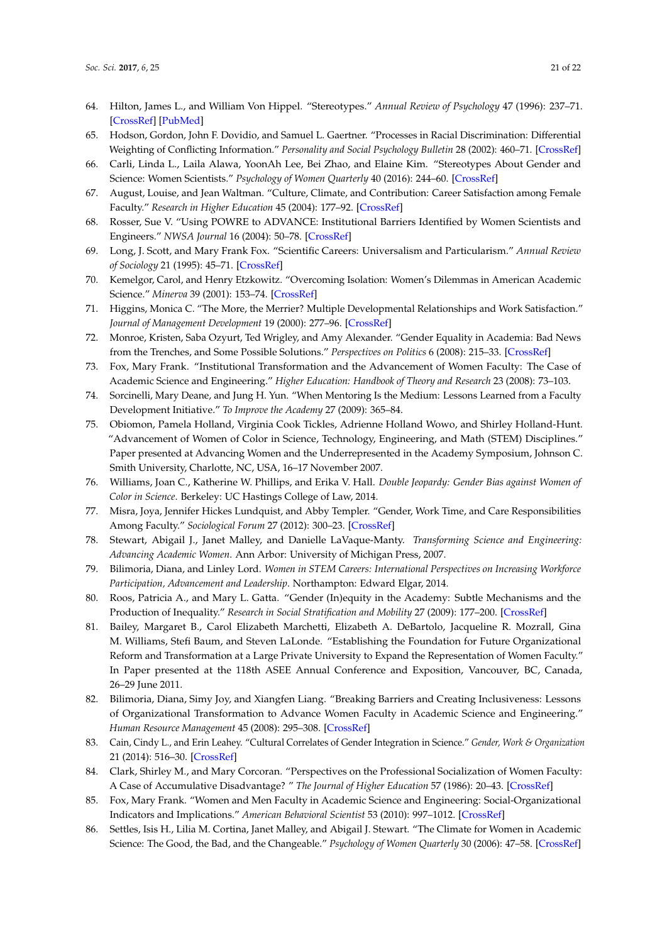- <span id="page-20-0"></span>64. Hilton, James L., and William Von Hippel. "Stereotypes." *Annual Review of Psychology* 47 (1996): 237–71. [\[CrossRef\]](http://dx.doi.org/10.1146/annurev.psych.47.1.237) [\[PubMed\]](http://www.ncbi.nlm.nih.gov/pubmed/15012482)
- <span id="page-20-1"></span>65. Hodson, Gordon, John F. Dovidio, and Samuel L. Gaertner. "Processes in Racial Discrimination: Differential Weighting of Conflicting Information." *Personality and Social Psychology Bulletin* 28 (2002): 460–71. [\[CrossRef\]](http://dx.doi.org/10.1177/0146167202287004)
- <span id="page-20-2"></span>66. Carli, Linda L., Laila Alawa, YoonAh Lee, Bei Zhao, and Elaine Kim. "Stereotypes About Gender and Science: Women Scientists." *Psychology of Women Quarterly* 40 (2016): 244–60. [\[CrossRef\]](http://dx.doi.org/10.1177/0361684315622645)
- <span id="page-20-3"></span>67. August, Louise, and Jean Waltman. "Culture, Climate, and Contribution: Career Satisfaction among Female Faculty." *Research in Higher Education* 45 (2004): 177–92. [\[CrossRef\]](http://dx.doi.org/10.1023/B:RIHE.0000015694.14358.ed)
- <span id="page-20-10"></span>68. Rosser, Sue V. "Using POWRE to ADVANCE: Institutional Barriers Identified by Women Scientists and Engineers." *NWSA Journal* 16 (2004): 50–78. [\[CrossRef\]](http://dx.doi.org/10.2979/NWS.2004.16.1.50)
- <span id="page-20-4"></span>69. Long, J. Scott, and Mary Frank Fox. "Scientific Careers: Universalism and Particularism." *Annual Review of Sociology* 21 (1995): 45–71. [\[CrossRef\]](http://dx.doi.org/10.1146/annurev.so.21.080195.000401)
- <span id="page-20-5"></span>70. Kemelgor, Carol, and Henry Etzkowitz. "Overcoming Isolation: Women's Dilemmas in American Academic Science." *Minerva* 39 (2001): 153–74. [\[CrossRef\]](http://dx.doi.org/10.1023/A:1010344929577)
- <span id="page-20-6"></span>71. Higgins, Monica C. "The More, the Merrier? Multiple Developmental Relationships and Work Satisfaction." *Journal of Management Development* 19 (2000): 277–96. [\[CrossRef\]](http://dx.doi.org/10.1108/02621710010322634)
- <span id="page-20-7"></span>72. Monroe, Kristen, Saba Ozyurt, Ted Wrigley, and Amy Alexander. "Gender Equality in Academia: Bad News from the Trenches, and Some Possible Solutions." *Perspectives on Politics* 6 (2008): 215–33. [\[CrossRef\]](http://dx.doi.org/10.1017/S1537592708080572)
- <span id="page-20-8"></span>73. Fox, Mary Frank. "Institutional Transformation and the Advancement of Women Faculty: The Case of Academic Science and Engineering." *Higher Education: Handbook of Theory and Research* 23 (2008): 73–103.
- <span id="page-20-9"></span>74. Sorcinelli, Mary Deane, and Jung H. Yun. "When Mentoring Is the Medium: Lessons Learned from a Faculty Development Initiative." *To Improve the Academy* 27 (2009): 365–84.
- <span id="page-20-11"></span>75. Obiomon, Pamela Holland, Virginia Cook Tickles, Adrienne Holland Wowo, and Shirley Holland-Hunt. "Advancement of Women of Color in Science, Technology, Engineering, and Math (STEM) Disciplines." Paper presented at Advancing Women and the Underrepresented in the Academy Symposium, Johnson C. Smith University, Charlotte, NC, USA, 16–17 November 2007.
- <span id="page-20-12"></span>76. Williams, Joan C., Katherine W. Phillips, and Erika V. Hall. *Double Jeopardy: Gender Bias against Women of Color in Science*. Berkeley: UC Hastings College of Law, 2014.
- <span id="page-20-13"></span>77. Misra, Joya, Jennifer Hickes Lundquist, and Abby Templer. "Gender, Work Time, and Care Responsibilities Among Faculty." *Sociological Forum* 27 (2012): 300–23. [\[CrossRef\]](http://dx.doi.org/10.1111/j.1573-7861.2012.01319.x)
- <span id="page-20-14"></span>78. Stewart, Abigail J., Janet Malley, and Danielle LaVaque-Manty. *Transforming Science and Engineering: Advancing Academic Women*. Ann Arbor: University of Michigan Press, 2007.
- 79. Bilimoria, Diana, and Linley Lord. *Women in STEM Careers: International Perspectives on Increasing Workforce Participation, Advancement and Leadership*. Northampton: Edward Elgar, 2014.
- <span id="page-20-15"></span>80. Roos, Patricia A., and Mary L. Gatta. "Gender (In)equity in the Academy: Subtle Mechanisms and the Production of Inequality." *Research in Social Stratification and Mobility* 27 (2009): 177–200. [\[CrossRef\]](http://dx.doi.org/10.1016/j.rssm.2009.04.005)
- <span id="page-20-16"></span>81. Bailey, Margaret B., Carol Elizabeth Marchetti, Elizabeth A. DeBartolo, Jacqueline R. Mozrall, Gina M. Williams, Stefi Baum, and Steven LaLonde. "Establishing the Foundation for Future Organizational Reform and Transformation at a Large Private University to Expand the Representation of Women Faculty." In Paper presented at the 118th ASEE Annual Conference and Exposition, Vancouver, BC, Canada, 26–29 June 2011.
- 82. Bilimoria, Diana, Simy Joy, and Xiangfen Liang. "Breaking Barriers and Creating Inclusiveness: Lessons of Organizational Transformation to Advance Women Faculty in Academic Science and Engineering." *Human Resource Management* 45 (2008): 295–308. [\[CrossRef\]](http://dx.doi.org/10.1002/hrm.20225)
- 83. Cain, Cindy L., and Erin Leahey. "Cultural Correlates of Gender Integration in Science." *Gender, Work & Organization* 21 (2014): 516–30. [\[CrossRef\]](http://dx.doi.org/10.1111/gwao.12052)
- 84. Clark, Shirley M., and Mary Corcoran. "Perspectives on the Professional Socialization of Women Faculty: A Case of Accumulative Disadvantage? " *The Journal of Higher Education* 57 (1986): 20–43. [\[CrossRef\]](http://dx.doi.org/10.2307/1981464)
- 85. Fox, Mary Frank. "Women and Men Faculty in Academic Science and Engineering: Social-Organizational Indicators and Implications." *American Behavioral Scientist* 53 (2010): 997–1012. [\[CrossRef\]](http://dx.doi.org/10.1177/0002764209356234)
- <span id="page-20-17"></span>86. Settles, Isis H., Lilia M. Cortina, Janet Malley, and Abigail J. Stewart. "The Climate for Women in Academic Science: The Good, the Bad, and the Changeable." *Psychology of Women Quarterly* 30 (2006): 47–58. [\[CrossRef\]](http://dx.doi.org/10.1111/j.1471-6402.2006.00261.x)